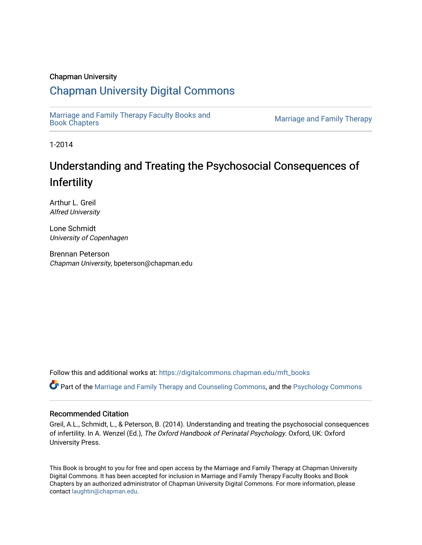# Chapman University

# [Chapman University Digital Commons](https://digitalcommons.chapman.edu/)

[Marriage and Family Therapy Faculty Books and](https://digitalcommons.chapman.edu/mft_books) 

**Marriage and Family Therapy** 

1-2014

# Understanding and Treating the Psychosocial Consequences of Infertility

Arthur L. Greil Alfred University

Lone Schmidt University of Copenhagen

Brennan Peterson Chapman University, bpeterson@chapman.edu

Follow this and additional works at: [https://digitalcommons.chapman.edu/mft\\_books](https://digitalcommons.chapman.edu/mft_books?utm_source=digitalcommons.chapman.edu%2Fmft_books%2F3&utm_medium=PDF&utm_campaign=PDFCoverPages) 

Part of the [Marriage and Family Therapy and Counseling Commons,](http://network.bepress.com/hgg/discipline/715?utm_source=digitalcommons.chapman.edu%2Fmft_books%2F3&utm_medium=PDF&utm_campaign=PDFCoverPages) and the [Psychology Commons](http://network.bepress.com/hgg/discipline/404?utm_source=digitalcommons.chapman.edu%2Fmft_books%2F3&utm_medium=PDF&utm_campaign=PDFCoverPages)

# Recommended Citation

Greil, A.L., Schmidt, L., & Peterson, B. (2014). Understanding and treating the psychosocial consequences of infertility. In A. Wenzel (Ed.), The Oxford Handbook of Perinatal Psychology. Oxford, UK: Oxford University Press.

This Book is brought to you for free and open access by the Marriage and Family Therapy at Chapman University Digital Commons. It has been accepted for inclusion in Marriage and Family Therapy Faculty Books and Book Chapters by an authorized administrator of Chapman University Digital Commons. For more information, please contact [laughtin@chapman.edu](mailto:laughtin@chapman.edu).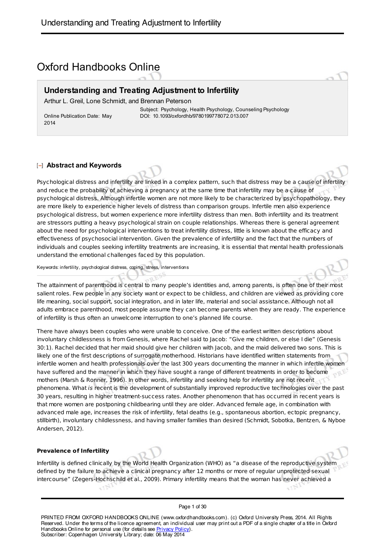# Oxford Handbooks Online

# **Understanding and Treating Adjustment to Infertility**

Arthur L. Greil, Lone Schmidt, and Brennan Peterson

Online Publication Date: May 2014

Subject: Psychology, Health Psychology, Counseling Psychology DOI: 10.1093/oxfordhb/9780199778072.013.007

# **Abstract and Keywords**

Psychological distress and infertility are linked in a complex pattern, such that distress may be a cause of infertility and reduce the probability of achieving a pregnancy at the same time that infertility may be a cause of psychological distress. Although infertile women are not more likely to be characterized by psychopathology, they are more likely to experience higher levels of distress than comparison groups. Infertile men also experience psychological distress, but women experience more infertility distress than men. Both infertility and its treatment are stressors putting a heavy psychological strain on couple relationships. Whereas there is general agreement about the need for psychological interventions to treat infertility distress, little is known about the efficacy and effectiveness of psychosocial intervention. Given the prevalence of infertility and the fact that the numbers of individuals and couples seeking infertility treatments are increasing, it is essential that mental health professionals understand the emotional challenges faced by this population.

Keywords: infertility, psychological distress, coping, stress, interventions

The attainment of parenthood is central to many people's identities and, among parents, is often one of their most salient roles. Few people in any society want or expect to be childless, and children are viewed as providing core life meaning, social support, social integration, and in later life, material and social assistance. Although not all adults embrace parenthood, most people assume they can become parents when they are ready. The experience of infertility is thus often an unwelcome interruption to one's planned life course.

There have always been couples who were unable to conceive. One of the earliest written descriptions about involuntary childlessness is from Genesis, where Rachel said to Jacob: "Give me children, or else I die" (Genesis 30:1). Rachel decided that her maid should give her children with Jacob, and the maid delivered two sons. This is likely one of the first descriptions of surrogate motherhood. Historians have identified written statements from infertile women and health professionals over the last 300 years documenting the manner in which infertile women have suffered and the manner in which they have sought a range of different treatments in order to become mothers (Marsh & Ronner, 1996). In other words, infertility and seeking help for infertility are not recent phenomena. What is recent is the development of substantially improved reproductive technologies over the past 30 years, resulting in higher treatment-success rates. Another phenomenon that has occurred in recent years is that more women are postponing childbearing until they are older. Advanced female age, in combination with advanced male age, increases the risk of infertility, fetal deaths (e.g., spontaneous abortion, ectopic pregnancy, stillbirth), involuntary childlessness, and having smaller families than desired (Schmidt, Sobotka, Bentzen, & Nyboe Andersen, 2012).

#### **Prevalence of Infertility**

Infertility is defined clinically by the World Health Organization (WHO) as "a disease of the reproductive system defined by the failure to achieve a clinical pregnancy after 12 months or more of regular unprotected sexual intercourse" (Zegers-Hochschild et al., 2009). Primary infertility means that the woman has never achieved a

#### Page 1 of 30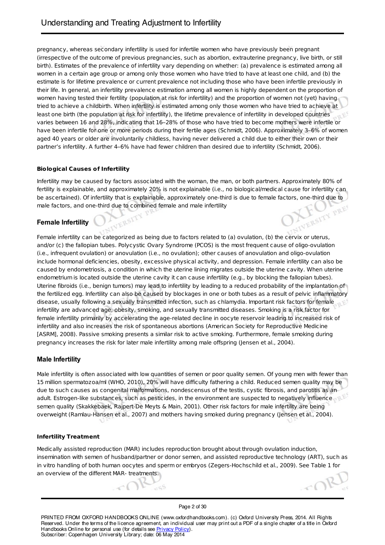pregnancy, whereas secondary infertility is used for infertile women who have previously been pregnant (irrespective of the outcome of previous pregnancies, such as abortion, extrauterine pregnancy, live birth, or still birth). Estimates of the prevalence of infertility vary depending on whether: (a) prevalence is estimated among all women in a certain age group or among only those women who have tried to have at least one child, and (b) the estimate is for lifetime prevalence or current prevalence not including those who have been infertile previously in their life. In general, an infertility prevalence estimation among all women is highly dependent on the proportion of women having tested their fertility (population at risk for infertility) and the proportion of women not (yet) having tried to achieve a childbirth. When infertility is estimated among only those women who have tried to achieve at least one birth (the population at risk for infertility), the lifetime prevalence of infertility in developed countries varies between 16 and 28%, indicating that 16–28% of those who have tried to become mothers were infertile or have been infertile for one or more periods during their fertile ages (Schmidt, 2006). Approximately 3–6% of women aged 40 years or older are involuntarily childless, having never delivered a child due to either their own or their partner's infertility. A further 4–6% have had fewer children than desired due to infertility (Schmidt, 2006).

# **Biological Causes of Infertility**

Infertility may be caused by factors associated with the woman, the man, or both partners. Approximately 80% of fertility is explainable, and approximately 20% is not explainable (i.e., no biological/medical cause for infertility can be ascertained). Of infertility that is explainable, approximately one-third is due to female factors, one-third due to male factors, and one-third due to combined female and male infertility<br> **Female Infertility** ERSITY PRES

# **Female Infertility**

Female infertility can be categorized as being due to factors related to (a) ovulation, (b) the cervix or uterus, and/or (c) the fallopian tubes. Polycystic Ovary Syndrome (PCOS) is the most frequent cause of oligo-ovulation (i.e., infrequent ovulation) or anovulation (i.e., no ovulation); other causes of anovulation and oligo-ovulation include hormonal deficiencies, obesity, excessive physical activity, and depression. Female infertility can also be caused by endometriosis, a condition in which the uterine lining migrates outside the uterine cavity. When uterine endometrium is located outside the uterine cavity it can cause infertility (e.g., by blocking the fallopian tubes). Uterine fibroids (i.e., benign tumors) may lead to infertility by leading to a reduced probability of the implantation of the fertilized egg. Infertility can also be caused by blockages in one or both tubes as a result of pelvic inflammatory disease, usually following a sexually transmitted infection, such as chlamydia. Important risk factors for female infertility are advanced age, obesity, smoking, and sexually transmitted diseases. Smoking is a risk factor for female infertility primarily by accelerating the age-related decline in oocyte reservoir leading to increased risk of infertility and also increases the risk of spontaneous abortions (American Society for Reproductive Medicine [ASRM], 2008). Passive smoking presents a similar risk to active smoking. Furthermore, female smoking during pregnancy increases the risk for later male infertility among male offspring (Jensen et al., 2004).

# **Male Infertility**

Male infertility is often associated with low quantities of semen or poor quality semen. Of young men with fewer than 15 million spermatozoa/ml (WHO, 2010), 20% will have difficulty fathering a child. Reduced semen quality may be due to such causes as congenital malformations, nondescensus of the testis, cystic fibrosis, and parotitis as an adult. Estrogen-like substances, such as pesticides, in the environment are suspected to negatively influence semen quality (Skakkebaek, Rajpert-De Meyts & Main, 2001). Other risk factors for male infertility are being overweight (Ramlau-Hansen et al., 2007) and mothers having smoked during pregnancy (Jensen et al., 2004).

#### **Infertility Treatment**

Medically assisted reproduction (MAR) includes reproduction brought about through ovulation induction, insemination with semen of husband/partner or donor semen, and assisted reproductive technology (ART), such as in vitro handling of both human oocytes and sperm or embryos (Zegers-Hochschild et al., 2009). See Table 1 for an overview of the different MAR- treatments.

TB

Page 2 of 30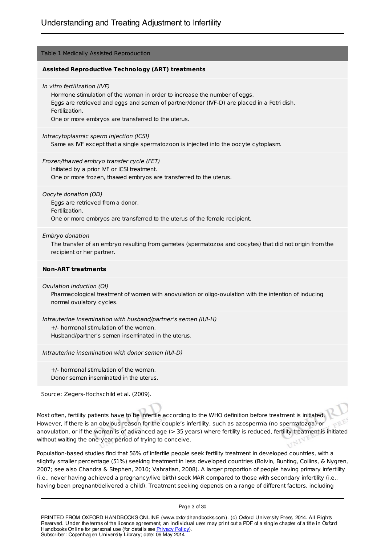## Table 1 Medically Assisted Reproduction

#### **Assisted Reproductive Technology (ART) treatments**

In vitro fertilization (IVF)

Hormone stimulation of the woman in order to increase the number of eggs. Eggs are retrieved and eggs and semen of partner/donor (IVF-D) are placed in a Petri dish. Fertilization. One or more embryos are transferred to the uterus.

Intracytoplasmic sperm injection (ICSI)

Same as IVF except that a single spermatozoon is injected into the oocyte cytoplasm.

Frozen/thawed embryo transfer cycle (FET) Initiated by a prior IVF or ICSI treatment.

One or more frozen, thawed embryos are transferred to the uterus.

Oocyte donation (OD) Eggs are retrieved from a donor. Fertilization. One or more embryos are transferred to the uterus of the female recipient.

Embryo donation

The transfer of an embryo resulting from gametes (spermatozoa and oocytes) that did not origin from the recipient or her partner.

#### **Non-ART treatments**

Ovulation induction (OI)

Pharmacological treatment of women with anovulation or oligo-ovulation with the intention of inducing normal ovulatory cycles.

Intrauterine insemination with husband/partner's semen (IUI-H) +/- hormonal stimulation of the woman. Husband/partner's semen inseminated in the uterus.

Intrauterine insemination with donor semen (IUI-D)

+/- hormonal stimulation of the woman. Donor semen inseminated in the uterus.

Source: Zegers-Hochschild et al. (2009).

Most often, fertility patients have to be infertile according to the WHO definition before treatment is initiated. However, if there is an obvious reason for the couple's infertility, such as azospermia (no spermatozoa) or anovulation, or if the woman is of advanced age (> 35 years) where fertility is reduced, fertility treatment is initiated without waiting the one-year period of trying to conceive.

Population-based studies find that 56% of infertile people seek fertility treatment in developed countries, with a slightly smaller percentage (51%) seeking treatment in less developed countries (Boivin, Bunting, Collins, & Nygren, 2007; see also Chandra & Stephen, 2010; Vahratian, 2008). A larger proportion of people having primary infertility (i.e., never having achieved a pregnancy/live birth) seek MAR compared to those with secondary infertility (i.e., having been pregnant/delivered a child). Treatment seeking depends on a range of different factors, including

Page 3 of 30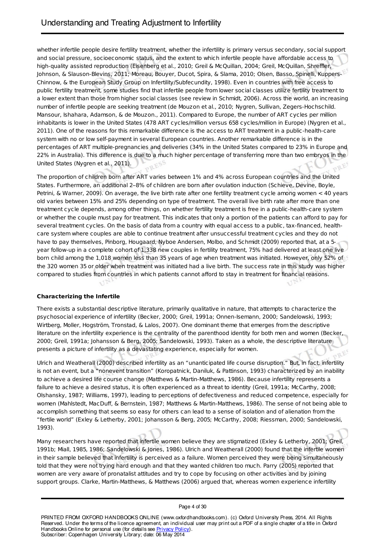whether infertile people desire fertility treatment, whether the infertility is primary versus secondary, social support and social pressure, socioeconomic status, and the extent to which infertile people have affordable access to high-quality assisted reproduction (Eisenberg et al., 2010; Greil & McQuillan, 2004; Greil, McQuillan, Shreffler, Johnson, & Slauson-Blevins, 2011; Moreau, Bouyer, Ducot, Spira, & Slama, 2010; Olsen, Basso, Spinelli, Kuppers-Chinnow, & the European Study Group on Infertility/Subfecundity, 1998). Even in countries with free access to public fertility treatment, some studies find that infertile people from lower social classes utilize fertility treatment to a lower extent than those from higher social classes (see review in Schmidt, 2006). Across the world, an increasing number of infertile people are seeking treatment (de Mouzon et al., 2010; Nygren, Sullivan, Zegers-Hochschild. Mansour, Ishahara, Adamson, & de Mouzon., 2011). Compared to Europe, the number of ART cycles per million inhabitants is lower in the United States (478 ART cycles/million versus 658 cycles/million in Europe) (Nygren et al., 2011). One of the reasons for this remarkable difference is the access to ART treatment in a public-health-care system with no or low self-payment in several European countries. Another remarkable difference is in the percentages of ART multiple-pregnancies and deliveries (34% in the United States compared to 23% in Europe and 22% in Australia). This difference is due to a much higher percentage of transferring more than two embryos in the United States (Nygren et al., 2011). Bar

The proportion of children born after ART varies between 1% and 4% across European countries and the United States. Furthermore, an additional 2–8% of children are born after ovulation induction (Schieve, Devine, Boyle, Petrini, & Warner, 2009). On average, the live birth rate after one fertility treatment cycle among women < 40 years old varies between 15% and 25% depending on type of treatment. The overall live birth rate after more than one treatment cycle depends, among other things, on whether fertility treatment is free in a public-health-care system or whether the couple must pay for treatment. This indicates that only a portion of the patients can afford to pay for several treatment cycles. On the basis of data from a country with equal access to a public, tax-financed, healthcare system where couples are able to continue treatment after unsuccessful treatment cycles and they do not have to pay themselves, Pinborg, Hougaard, Nyboe Andersen, Molbo, and Schmidt (2009) reported that, at a 5 year follow-up in a complete cohort of 1,338 new couples in fertility treatment, 75% had delivered at least one live born child among the 1,018 women less than 35 years of age when treatment was initiated. However, only 52% of the 320 women 35 or older when treatment was initiated had a live birth. The success rate in this study was higher compared to studies from countries in which patients cannot afford to stay in treatment for financial reasons.

#### **Characterizing the Infertile**

There exists a substantial descriptive literature, primarily qualitative in nature, that attempts to characterize the psychosocial experience of infertility (Becker, 2000; Greil, 1991a; Onnen-Isemann, 2000; Sandelowski, 1993; Wirtberg, Moller, Hogström, Tronstad, & Lalos, 2007). One dominant theme that emerges from the descriptive literature on the infertility experience is the centrality of the parenthood identity for both men and women (Becker, 2000; Greil, 1991a; Johansson & Berg, 2005; Sandelowski, 1993). Taken as a whole, the descriptive literature presents a picture of infertility as a devastating experience, especially for women.

Ulrich and Weatherall (2000) described infertility as an "unanticipated life course disruption." But, in fact, infertility is not an event, but a "nonevent transition" (Koropatnick, Daniluk, & Pattinson, 1993) characterized by an inability to achieve a desired life course change (Matthews & Martin-Matthews, 1986). Because infertility represents a failure to achieve a desired status, it is often experienced as a threat to identity (Greil, 1991a; McCarthy, 2008; Olshansky, 1987; Williams, 1997), leading to perceptions of defectiveness and reduced competence, especially for women (Mahlstedt, MacDuff, & Bernstein, 1987; Matthews & Martin-Matthews, 1986). The sense of not being able to accomplish something that seems so easy for others can lead to a sense of isolation and of alienation from the "fertile world" (Exley & Letherby, 2001; Johansson & Berg, 2005; McCarthy, 2008; Riessman, 2000; Sandelowski, 1993).

Many researchers have reported that infertile women believe they are stigmatized (Exley & Letherby, 2001; Greil, 1991b; Miall, 1985, 1986; Sandelowski & Jones, 1986). Ulrich and Weatherall (2000) found that the infertile women in their sample believed that infertility is perceived as a failure. Women perceived they were being simultaneously told that they were not trying hard enough and that they wanted children too much. Parry (2005) reported that women are very aware of pronatalist attitudes and try to cope by focusing on other activities and by joining support groups. Clarke, Martin-Matthews, & Matthews (2006) argued that, whereas women experience infertility

#### Page 4 of 30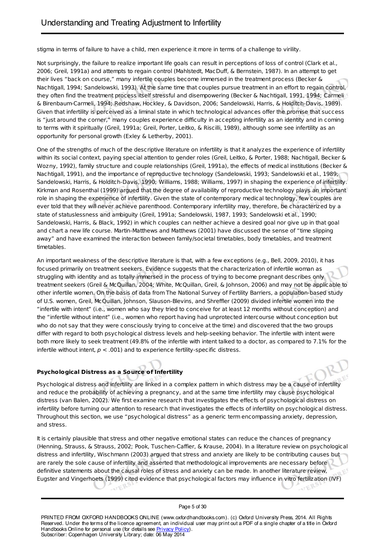stigma in terms of failure to have a child, men experience it more in terms of a challenge to virility.

Not surprisingly, the failure to realize important life goals can result in perceptions of loss of control (Clark et al., 2006; Greil, 1991a) and attempts to regain control (Mahlstedt, MacDuff, & Bernstein, 1987). In an attempt to get their lives "back on course," many infertile couples become immersed in the treatment process (Becker & Nachtigall, 1994; Sandelowski, 1993). At the same time that couples pursue treatment in an effort to regain control, they often find the treatment process itself stressful and disempowering (Becker & Nachtigall, 1991, 1994; Carmeli & Birenbaum-Carmeli, 1994; Redshaw, Hockley, & Davidson, 2006; Sandelowski, Harris, & Holditch-Davis, 1989). Given that infertility is perceived as a liminal state in which technological advances offer the promise that success is "just around the corner," many couples experience difficulty in accepting infertility as an identity and in coming to terms with it spiritually (Greil, 1991a; Greil, Porter, Leitko, & Riscilli, 1989), although some see infertility as an opportunity for personal growth (Exley & Letherby, 2001).

One of the strengths of much of the descriptive literature on infertility is that it analyzes the experience of infertility within its social context, paying special attention to gender roles (Greil, Leitko, & Porter, 1988; Nachtigall, Becker & Wozny, 1992), family structure and couple relationships (Greil, 1991a), the effects of medical institutions (Becker & Nachtigall, 1991), and the importance of reproductive technology (Sandelowski, 1993; Sandelowski et al., 1989; Sandelowski, Harris, & Holditch-Davis, 1990; Williams, 1988; Williams, 1997) in shaping the experience of infertility. Kirkman and Rosenthal (1999) argued that the degree of availability of reproductive technology plays an important role in shaping the experience of infertility. Given the state of contemporary medical technology, few couples are ever told that they will never achieve parenthood. Contemporary infertility may, therefore, be characterized by a state of statuslessness and ambiguity (Greil, 1991a; Sandelowski, 1987, 1993; Sandelowski et al., 1990; Sandelowski, Harris, & Black, 1992) in which couples can neither achieve a desired goal nor give up in that goal and chart a new life course. Martin-Matthews and Matthews (2001) have discussed the sense of "time slipping away" and have examined the interaction between family/societal timetables, body timetables, and treatment timetables.

An important weakness of the descriptive literature is that, with a few exceptions (e.g., Bell, 2009, 2010), it has focused primarily on treatment seekers. Evidence suggests that the characterization of infertile woman as struggling with identity and as totally immersed in the process of trying to become pregnant describes only treatment seekers (Greil & McQuillan, 2004; White, McQuillan, Greil, & Johnson, 2006) and may not be applicable to other infertile women. On the basis of data from The National Survey of Fertility Barriers, a population-based study of U.S. women, Greil, McQuillan, Johnson, Slauson-Blevins, and Shreffler (2009) divided infertile women into the "infertile with intent" (i.e., women who say they tried to conceive for at least 12 months without conception) and the "infertile without intent" (i.e., women who report having had unprotected intercourse without conception but who do not say that they were consciously trying to conceive at the time) and discovered that the two groups differ with regard to both psychological distress levels and help-seeking behavior. The infertile with intent were both more likely to seek treatment (49.8% of the infertile with intent talked to a doctor, as compared to 7.1% for the infertile without intent,  $p < .001$ ) and to experience fertility-specific distress.

# **Psychological Distress as a Source of Infertility**

 $r$ ,

Psychological distress and infertility are linked in a complex pattern in which distress may be a cause of infertility and reduce the probability of achieving a pregnancy, and at the same time infertility may cause psychological distress (van Balen, 2002). We first examine research that investigates the effects of psychological distress on infertility before turning our attention to research that investigates the effects of infertility on psychological distress. Throughout this section, we use "psychological distress" as a generic term encompassing anxiety, depression, and stress.

It is certainly plausible that stress and other negative emotional states can reduce the chances of pregnancy (Henning, Strauss, & Strauss, 2002; Pook, Tuschen-Caffier, & Krause, 2004). In a literature review on psychological distress and infertility, Wischmann (2003) argued that stress and anxiety are likely to be contributing causes but are rarely the sole cause of infertility and asserted that methodological improvements are necessary before definitive statements about the causal roles of stress and anxiety can be made. In another literature review, Eugster and Vingerhoets (1999) cited evidence that psychological factors may influence in vitro fertilization (IVF)

Page 5 of 30

 $r$ ,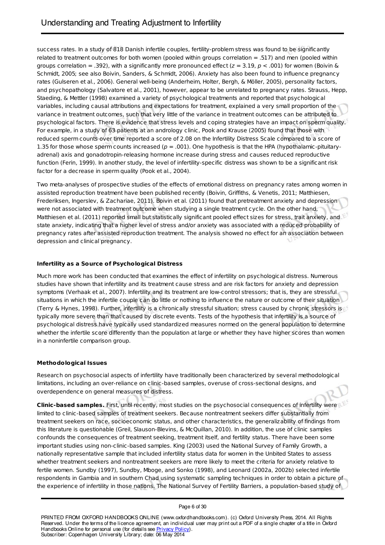success rates. In a study of 818 Danish infertile couples, fertility-problem stress was found to be significantly related to treatment outcomes for both women (pooled within groups correlation = .517) and men (pooled within groups correlation = .392), with a significantly more pronounced effect ( $z = 3.19$ ,  $p < .001$ ) for women (Boivin & Schmidt, 2005; see also Boivin, Sanders, & Schmidt, 2006). Anxiety has also been found to influence pregnancy rates (Gulseren et al., 2006). General well-being (Anderheim, Holter, Bergh, & Möller, 2005), personality factors, and psychopathology (Salvatore et al., 2001), however, appear to be unrelated to pregnancy rates. Strauss, Hepp, Staeding, & Mettler (1998) examined a variety of psychological treatments and reported that psychological variables, including causal attributions and expectations for treatment, explained a very small proportion of the variance in treatment outcomes, such that very little of the variance in treatment outcomes can be attributed to psychological factors. There is evidence that stress levels and coping strategies have an impact on sperm quality. For example, in a study of 63 patients at an andrology clinic, Pook and Krause (2005) found that those with reduced sperm counts over time reported a score of 2.08 on the Infertility Distress Scale compared to a score of 1.35 for those whose sperm counts increased ( $p = .001$ ). One hypothesis is that the HPA (hypothalamic-pituitaryadrenal) axis and gonadotropin-releasing hormone increase during stress and causes reduced reproductive function (Ferin, 1999). In another study, the level of infertility-specific distress was shown to be a significant risk factor for a decrease in sperm quality (Pook et al., 2004).

Two meta-analyses of prospective studies of the effects of emotional distress on pregnancy rates among women in assisted reproduction treatment have been published recently (Boivin, Griffiths, & Venetis, 2011; Matthiesen, Frederiksen, Ingerslev, & Zachariae, 2011). Boivin et al. (2011) found that pretreatment anxiety and depression were not associated with treatment outcome when studying a single treatment cycle. On the other hand, Matthiesen et al. (2011) reported small but statistically significant pooled effect sizes for stress, trait anxiety, and state anxiety, indicating that a higher level of stress and/or anxiety was associated with a reduced probability of pregnancy rates after assisted reproduction treatment. The analysis showed no effect for an association between<br>depression and clinical pregnancy. depression and clinical pregnancy.

# **Infertility as a Source of Psychological Distress**

Much more work has been conducted that examines the effect of infertility on psychological distress. Numerous studies have shown that infertility and its treatment cause stress and are risk factors for anxiety and depression symptoms (Verhaak et al., 2007). Infertility and its treatment are low-control stressors; that is, they are stressful situations in which the infertile couple can do little or nothing to influence the nature or outcome of their situation (Terry & Hynes, 1998). Further, infertility is a chronically stressful situation; stress caused by chronic stressors is typically more severe than that caused by discrete events. Tests of the hypothesis that infertility is a source of psychological distress have typically used standardized measures normed on the general population to determine whether the infertile score differently than the population at large or whether they have higher scores than women in a noninfertile comparison group.

# **Methodological Issues**

Research on psychosocial aspects of infertility have traditionally been characterized by several methodological limitations, including an over-reliance on clinic-based samples, overuse of cross-sectional designs, and overdependence on general measures of distress.

**Clinic-based samples.** First, until recently, most studies on the psychosocial consequences of infertility were limited to clinic-based samples of treatment seekers. Because nontreatment seekers differ substantially from treatment seekers on race, socioeconomic status, and other characteristics, the generalizability of findings from this literature is questionable (Greil, Slauson-Blevins, & McQuillan, 2010). In addition, the use of clinic samples confounds the consequences of treatment seeking, treatment itself, and fertility status. There have been some important studies using non-clinic-based samples. King (2003) used the National Survey of Family Growth, a nationally representative sample that included infertility status data for women in the Unbited States to assess whether treatment seekers and nontreatment seekers are more likely to meet the criteria for anxiety relative to fertile women. Sundby (1997), Sundby, Mboge, and Sonko (1998), and Leonard (2002a, 2002b) selected infertile respondents in Gambia and in southern Chad using systematic sampling techniques in order to obtain a picture of the experience of infertility in those nations. The National Survey of Fertility Barriers, a population-based study of

Page 6 of 30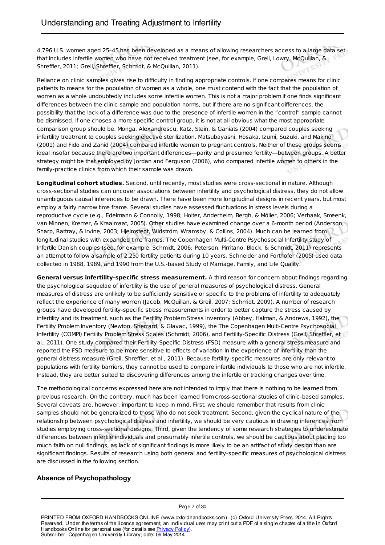4,796 U.S. women aged 25–45 has been developed as a means of allowing researchers access to a large data set that includes infertile women who have not received treatment (see, for example, Greil, Lowry, McQuillan, & Shreffler, 2011; Greil, Shreffler, Schmidt, & McQuillan, 2011).

Reliance on clinic samples gives rise to difficulty in finding appropriate controls. If one compares means for clinic patients to means for the population of women as a whole, one must contend with the fact that the population of women as a whole undoubtedly includes some infertile women. This is not a major problem if one finds significant differences between the clinic sample and population norms, but if there are no significant differences, the possibility that the lack of a difference was due to the presence of infertile women in the "control" sample cannot be dismissed. If one choses a more specific control group, it is not at all obvious what the most appropriate comparison group should be. Monga, Alexandrescu, Katz, Stein, & Ganiats (2004) compared couples seeking infertility treatment to couples seeking elective sterilization. Matsubayashi, Hosaka, Izumi, Suzuki, and Makino (2001) and Fido and Zahid (2004) compared infertile women to pregnant controls. Neither of these groups seems ideal insofar because there are two important differences—parity and presumed fertility—between groups. A better strategy might be that employed by Jordan and Ferguson (2006), who compared infertile women to others in the family-practice clinics from which their sample was drawn.

**Longitudinal cohort studies.** Second, until recently, most studies were cross-sectional in nature. Although cross-sectional studies can uncover associations between infertility and psychological distress, they do not allow unambiguous causal inferences to be drawn. There have been more longitudinal designs in recent years, but most employ a fairly narrow time frame. Several studies have assessed fluctuations in stress levels during a reproductive cycle (e.g., Edelmann & Connolly, 1998; Holter, Anderheim, Bergh, & Möller, 2006; Verhaak, Smeenk, van Minnen, Kremer, & Kraaimaat, 2005). Other studies have examined change over a 6-month period (Anderson, Sharp, Rattray, & Irvine, 2003; Hjelmstedt, Widström, Wramsby, & Collins, 2004). Much can be learned from longitudinal studies with expanded time frames. The Copenhagen Multi-Centre Psychosocial Infertility study of Infertile Danish couples (see, for example, Schmidt, 2006; Peterson, Pirritano, Block, & Schmidt, 2011) represents an attempt to follow a sample of 2,250 fertility patients during 10 years. Schneider and Forthofer (2005) used data collected in 1988, 1989, and 1990 from the U.S.-based Study of Marriage, Family, and Life Quality.

**General versus infertility-specific stress measurement.** A third reason for concern about findings regarding the psychological sequelae of infertility is the use of general measures of psychological distress. General measures of distress are unlikely to be sufficiently sensitive or specific to the problems of infertility to adequately reflect the experience of many women (Jacob, McQuillan, & Greil, 2007; Schmidt, 2009). A number of research groups have developed fertility-specific stress measurements in order to better capture the stress caused by infertility and its treatment, such as the Fertility Problem Stress Inventory (Abbey, Halman, & Andrews, 1992), the Fertility Problem Inventory (Newton, Sherrard, & Glavac, 1999), the The Copenhagen Multi-Centre Psychosocial Infertility (COMPI) Fertility Problem Stress Scales (Schmidt, 2006), and Fertility-Specific Distress (Greil, Shreffler, et al., 2011). One study compared their Fertility-Specific Distress (FSD) measure with a general stress measure and reported the FSD measure to be more sensitive to effects of variation in the experience of infertility than the general distress measure (Greil, Shreffler, et al., 2011). Because fertility-specific measures are only relevant to populations with fertility barriers, they cannot be used to compare infertile individuals to those who are not infertile. Instead, they are better suited to discovering differences among the infertile or tracking changes over time.

The methodological concerns expressed here are not intended to imply that there is nothing to be learned from previous research. On the contrary, much has been learned from cross-sectional studies of clinic-based samples. Several caveats are, however, important to keep in mind. First, we should remember that results from clinic samples should not be generalized to those who do not seek treatment. Second, given the cyclical nature of the relationship between psychological distress and infertility, we should be very cautious in drawing inferences from studies employing cross-sectional designs. Third, given the tendency of some research strategies to underestimate differences between infertile individuals and presumably infertile controls, we should be cautious about placing too much faith on null findings, as lack of significant findings is more likely to be an artifact of study design than are significant findings. Results of research using both general and fertility-specific measures of psychological distress are discussed in the following section.

# **Absence of Psychopathology**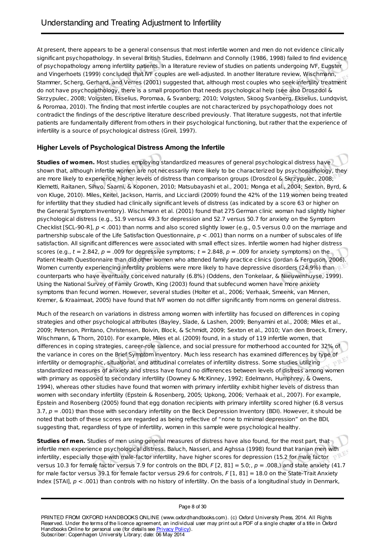At present, there appears to be a general consensus that most infertile women and men do not evidence clinically significant psychopathology. In several British Studies, Edelmann and Connolly (1986, 1998) failed to find evidence of psychopathology among infertility patients. In a literature review of studies on patients undergoing IVF, Eugster and Vingerhoets (1999) concluded that IVF couples are well-adjusted. In another literature review, Wischmann, Stammer, Scherg, Gerhard, and Verres (2001) suggested that, although most couples who seek infertility treatment do not have psychopathology, there is a small proportion that needs psychological help (see also Droszdol & Skrzypulec, 2008; Volgsten, Ekselius, Poromaa, & Svanberg; 2010; Volgsten, Skoog Svanberg, Ekselius, Lundqvist, & Poromaa, 2010). The finding that most infertile couples are not characterized by psychopathology does not contradict the findings of the descriptive literature described previously. That literature suggests, not that infertile patients are fundamentally different from others in their psychological functioning, but rather that the experience of infertility is a source of psychological distress (Greil, 1997).

# **Higher Levels of Psychological Distress Among the Infertile**

**Studies of women.** Most studies employing standardized measures of general psychological distress have shown that, although infertile women are not necessarily more likely to be characterized by psychopathology, they are more likely to experience higher levels of distress than comparison groups (Drosdzol & Skrzypulec, 2008; Klemetti, Raitanen, Sihvo, Saarni, & Koponen, 2010; Matsubayashi et al., 2001; Monga et al., 2004; Sexton, Byrd, & von Kluge, 2010). Miles, Keitel, Jackson, Harris, and Licciardi (2009) found the 42% of the 119 women being treated for infertility that they studied had clinically significant levels of distress (as indicated by a score 63 or higher on the General Symptom Inventory). Wischmann et al. (2001) found that 275 German clinic woman had slightly higher psychological distress (e.g., 51.9 versus 49.3 for depression and 52.7 versus 50.7 for anxiety on the Symptom Checklist [SCL-90-R],  $p < .001$ ) than norms and also scored slightly lower (e.g., 0.5 versus 0.0 on the marriage and partnership subscale of the Life Satisfaction Questionnaire,  $p < .001$ ) than norms on a number of subscales of life satisfaction. All significant differences were associated with small effect sizes. Infertile women had higher distress scores (e.g.,  $t = 2.842$ ,  $p = .009$  for depressive symptoms;  $t = 2.848$ ,  $p = .009$  for anxiety symptoms) on the Patient Health Questionnaire than did other women who attended family practice clinics (Jordan & Ferguson, 2006). Women currently experiencing infertility problems were more likely to have depressive disorders (24.9%) than counterparts who have eventually conceived naturally (6.8%) (Oddens, den Tonkelaar, & Niieuwenhuyse, 1999). Using the National Survey of Family Growth, King (2003) found that subfecund women have more anxiety symptoms than fecund women. However, several studies (Holter et al., 2006; Verhaak, Smeenk, van Minnen, Kremer, & Kraaimaat, 2005) have found that IVF women do not differ significantly from norms on general distress.

Much of the research on variations in distress among women with infertility has focused on differences in coping strategies and other psychological attributes (Bayley, Slade, & Lashen, 2009; Benyamini et al., 2008; Miles et al., 2009; Peterson, Pirritano, Christensen, Boivin, Block, & Schmidt, 2009; Sexton et al., 2010; Van den Broeck, Emery, Wischmann, & Thorn, 2010). For example, Miles et al. (2009) found, in a study of 119 infertile women, that differences in coping strategies, career-role salience, and social pressure for motherhood accounted for 32% of the variance in cores on the Brief Symptom Inventory. Much less research has examined differences by type of infertility or demographic, situational, and attitudinal correlates of infertility distress. Some studies utilizing standardized measures of anxiety and stress have found no differences between levels of distress among women with primary as opposed to secondary infertility (Downey & McKinney, 1992; Edelmann, Humphrey, & Owens, 1994), whereas other studies have found that women with primary infertility exhibit higher levels of distress than women with secondary infertility (Epstein & Rosenberg, 2005; Upkong, 2006; Verhaak et al., 2007). For example, Epstein and Rosenberg (2005) found that egg donation recipients with primary infertility scored higher (6.8 versus 3.7,  $p = .001$ ) than those with secondary infertility on the Beck Depression Inventory (BDI). However, it should be noted that both of these scores are regarded as being reflective of "none to minimal depression" on the BDI, suggesting that, regardless of type of infertility, women in this sample were psychological healthy.

**Studies of men.** Studies of men using general measures of distress have also found, for the most part, that infertile men experience psychological distress. Baluch, Nasseri, and Aghssa (1998) found that Iranian men with infertility, especially those with male-factor infertility, have higher scores for depression (15.2 for male factor versus 10.3 for female factor versus 7.9 for controls on the BDI, F [2, 81] = 5.0;,  $p = .008$ ,) and state anxiety (41.7 for male factor versus 39.1 for female factor versus 29.6 for controls, F [1, 81] = 18.0 on the State-Trait Anxiety Index [STAI],  $p < .001$ ) than controls with no history of infertility. On the basis of a longitudinal study in Denmark,

#### Page 8 of 30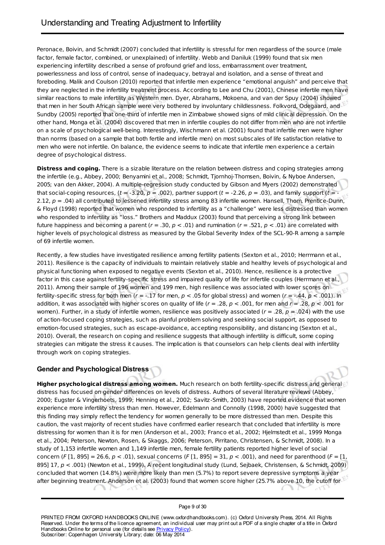Peronace, Boivin, and Schmidt (2007) concluded that infertility is stressful for men regardless of the source (male factor, female factor, combined, or unexplained) of infertility. Webb and Daniluk (1999) found that six men experiencing infertility described a sense of profound grief and loss, embarrassment over treatment, powerlessness and loss of control, sense of inadequacy, betrayal and isolation, and a sense of threat and foreboding. Malik and Coulson (2010) reported that infertile men experience "emotional anguish" and perceive that they are neglected in the infertility treatment process. According to Lee and Chu (2001), Chinese infertile men have similar reactions to male infertility as Western men. Dyer, Abrahams, Mokoena, and van der Spuy (2004) showed that men in her South African sample were very bothered by involuntary childlessness. Folkvord, Odegaard, and Sundby (2005) reported that one-third of infertile men in Zimbabwe showed signs of mild clinical depression. On the other hand, Monga et al. (2004) discovered that men in infertile couples do not differ from men who are not infertile on a scale of psychological well-being. Interestingly, Wischmann et al. (2001) found that infertile men were higher than norms (based on a sample that both fertile and infertile men) on most subscales of life satisfaction relative to men who were not infertile. On balance, the evidence seems to indicate that infertile men experience a certain degree of psychological distress.

**Distress and coping.** There is a sizable literature on the relation between distress and coping strategies among the infertile (e.g., Abbey, 2000; Benyamini et al., 2008; Schmidt, Tjornhoj-Thomsen, Boivin, & Nyboe Andersen, 2005; van den Akker, 2004). A multiple-regression study conducted by Gibson and Myers (2002) demonstrated that social-coping resources,  $(t = -3.20, p = .002)$ , partner support  $(t = -2.26, p = .03)$ , and family support  $(t = -1.002)$ 2.12,  $p = .04$ ) all contributed to lessened infertility stress among 83 infertile women. Hansell, Thom, Prentice-Dunn, & Floyd (1998) reported that women who responded to infertility as a "challenge" were less distressed than women who responded to infertility as "loss." Brothers and Maddux (2003) found that perceiving a strong link between future happiness and becoming a parent ( $r = .30$ ,  $p < .01$ ) and rumination ( $r = .521$ ,  $p < .01$ ) are correlated with higher levels of psychological distress as measured by the Global Severity Index of the SCL-90-R among a sample of 69 infertile women.

Recently, a few studies have investigated resilience among fertility patients (Sexton et al., 2010; Herrmann et al., 2011). Resilience is the capacity of individuals to maintain relatively stable and healthy levels of psychological and physical functioning when exposed to negative events (Sexton et al., 2010). Hence, resilience is a protective factor in this case against fertility-specific stress and impaired quality of life for infertile couples (Herrmann et al., 2011). Among their sample of 196 women and 199 men, high resilience was associated with lower scores on fertility-specific stress for both men ( $r = -.17$  for men,  $p < .05$  for global stress) and women ( $r = -.44$ ,  $p < .001$ ). In addition, it was associated with higher scores on quality of life ( $r = .28$ ,  $p < .001$ , for men and  $r = .28$ ,  $p < .001$  for women). Further, in a study of infertile women, resilience was positively associated ( $r = .28$ ,  $p = .024$ ) with the use of action-focused coping strategies, such as planful problem solving and seeking social support, as opposed to emotion-focused strategies, such as escape-avoidance, accepting responsibility, and distancing (Sexton et al., 2010). Overall, the research on coping and resilience suggests that although infertility is difficult, some coping strategies can mitigate the stress it causes. The implication is that counselors can help clients deal with infertility through work on coping strategies.

# **Gender and Psychological Distress**

**Higher psychological distress among women.** Much research on both fertility-specific distress and general distress has focused on gender differences on levels of distress. Authors of several literature reviews (Abbey, 2000; Eugster & Vingerhoets, 1999; Henning et al., 2002; Savitz-Smith, 2003) have reported evidence that women experience more infertility stress than men. However, Edelmann and Connolly (1998, 2000) have suggested that this finding may simply reflect the tendency for women generally to be more distressed than men. Despite this caution, the vast majority of recent studies have confirmed earlier research that concluded that infertility is more distressing for women than it is for men (Anderson et al., 2003; Franco et al., 2002; Hjelmstedt et al., 1999 Monga et al., 2004; Peterson, Newton, Rosen, & Skaggs, 2006; Peterson, Pirritano, Christensen, & Schmidt, 2008). In a study of 1,153 infertile women and 1,149 infertile men, female fertility patients reported higher level of social concern (F [1, 895] = 26.6,  $p < .01$ ), sexual concerns (F [1, 895] = 31,  $p < .001$ ), and need for parenthood (F = [1, 895] 17, p < .001) (Newton et al., 1999). A recent longitudinal study (Lund, Sejbaek, Christensen, & Schmidt, 2009) concluded that women (14.8%) were more likely than men (5.7%) to report severe depressive symptoms a year after beginning treatment. Anderson et al. (2003) found that women score higher (25.7% above 10, the cutoff for $\mathbb{R}$ L.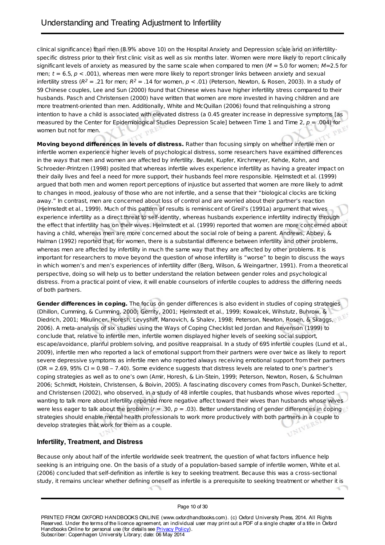clinical significance) than men (8.9% above 10) on the Hospital Anxiety and Depression scale and on infertilityspecific distress prior to their first clinic visit as well as six months later. Women were more likely to report clinically significant levels of anxiety as measured by the same scale when compared to men ( $M = 5.0$  for women;  $M=2.5$  for men;  $t = 6.5$ ,  $p < .001$ ), whereas men were more likely to report stronger links between anxiety and sexual infertility stress (R<sup>2</sup> = .21 for men; R<sup>2</sup> = .14 for women,  $p < .01$ ) (Peterson, Newton, & Rosen, 2003). In a study of 59 Chinese couples, Lee and Sun (2000) found that Chinese wives have higher infertility stress compared to their husbands. Pasch and Christensen (2000) have written that women are more invested in having children and are more treatment-oriented than men. Additionally, White and McQuillan (2006) found that relinquishing a strong intention to have a child is associated with elevated distress (a 0.45 greater increase in depressive symptoms [as measured by the Center for Epidemiological Studies Depression Scale] between Time 1 and Time 2,  $p = .004$ ) for women but not for men.

**Moving beyond differences in levels of distress.** Rather than focusing simply on whether infertile men or infertile women experience higher levels of psychological distress, some researchers have examined differences in the ways that men and women are affected by infertility. Beutel, Kupfer, Kirchmeyer, Kehde, Kohn, and Schroeder-Printzen (1998) posited that whereas infertile wives experience infertility as having a greater impact on their daily lives and feel a need for more support, their husbands feel more responsible. Hjelmstedt et al. (1999) argued that both men and women report perceptions of injustice but asserted that women are more likely to admit to changes in mood, jealousy of those who are not infertile, and a sense that their "biological clocks are ticking away." In contrast, men are concerned about loss of control and are worried about their partner's reaction (Hjelmstedt et al., 1999). Much of this pattern of results is reminiscent of Greil's (1991a) argument that wives experience infertility as a direct threat to self-identity, whereas husbands experience infertility indirectly through the effect that infertility has on their wives. Hjelmstedt et al. (1999) reported that women are more concerned about having a child, whereas men are more concerned about the social role of being a parent. Andrews, Abbey, & Halman (1992) reported that, for women, there is a substantial difference between infertility and other problems, whereas men are affected by infertility in much the same way that they are affected by other problems. It is important for researchers to move beyond the question of whose infertility is "worse" to begin to discuss the ways in which women's and men's experiences of infertility differ (Berg, Wilson, & Weingartner, 1991). From a theoretical perspective, doing so will help us to better understand the relation between gender roles and psychological distress. From a practical point of view, it will enable counselors of infertile couples to address the differing needs of both partners.

**Gender differences in coping.** The focus on gender differences is also evident in studies of coping strategies (Dhillon, Cumming, & Cumming, 2000; Gerrity, 2001; Hjelmstedt et al., 1999; Kowalcek, Wihstutz, Buhrow, & Diedrich, 2001; Mikulincer, Horesh, Levyshiff, Manovich, & Shalev, 1998; Peterson, Newton, Rosen, & Skaggs, 2006). A meta-analysis of six studies using the Ways of Coping Checklist led Jordan and Revenson (1999) to conclude that, relative to infertile men, infertile women displayed higher levels of seeking social support, escape/avoidance, planful problem solving, and positive reappraisal. In a study of 695 infertile couples (Lund et al., 2009), infertile men who reported a lack of emotional support from their partners were over twice as likely to report severe depressive symptoms as infertile men who reported always receiving emotional support from their partners  $(OR = 2.69, 95\% CI = 0.98 - 7.40)$ . Some evidence suggests that distress levels are related to one's partner's coping strategies as well as to one's own (Amir, Horesh, & Lin-Stein, 1999; Peterson, Newton, Rosen, & Schulman 2006; Schmidt, Holstein, Christensen, & Boivin, 2005). A fascinating discovery comes from Pasch, Dunkel-Schetter, and Christensen (2002), who observed, in a study of 48 infertile couples, that husbands whose wives reported wanting to talk more about infertility reported more negative affect toward their wives than husbands whose wives were less eager to talk about the problem ( $r = .30$ ,  $p = .03$ ). Better understanding of gender differences in coping<br>strategies should enable mental health professionals to work more productively with both partners in a cou strategies should enable mental health professionals to work more productively with both partners in a couple to develop strategies that work for them as a couple.

# **Infertility, Treatment, and Distress**

Because only about half of the infertile worldwide seek treatment, the question of what factors influence help seeking is an intriguing one. On the basis of a study of a population-based sample of infertile women, White et al. (2006) concluded that self-definition as infertile is key to seeking treatment. Because this was a cross-sectional study, it remains unclear whether defining oneself as infertile is a prerequisite to seeking treatment or whether it is

#### Page 10 of 30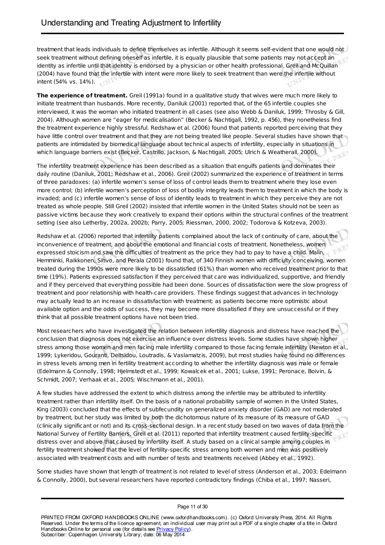treatment that leads individuals to define themselves as infertile. Although it seems self-evident that one would not seek treatment without defining oneself as infertile, it is equally plausible that some patients may not accept an identity as infertile until that identity is endorsed by a physician or other health professional. Greil and McQuillan (2004) have found that the infertile with intent were more likely to seek treatment than were the infertile without intent (54% vs. 14%).

**The experience of treatment.** Greil (1991a) found in a qualitative study that wives were much more likely to initiate treatment than husbands. More recently, Daniluk (2001) reported that, of the 65 infertile couples she interviewed, it was the woman who initiated treatment in all cases (see also Webb & Daniluk, 1999; Throsby & Gill, 2004). Although women are "eager for medicalisation" (Becker & Nachtigall, 1992, p. 456), they nonetheless find the treatment experience highly stressful. Redshaw et al. (2006) found that patients reported perceiving that they have little control over treatment and that they are not being treated like people. Several studies have shown that patients are intimidated by biomedical language about technical aspects of infertility, especially in situations in which language barriers exist (Becker, Castrillo, Jackson, & Nachtigall, 2005; Ulrich & Weatherall, 2000).

The infertility treatment experience has been described as a situation that engulfs patients and dominates their daily routine (Daniluk, 2001; Redshaw et al., 2006). Greil (2002) summarized the experience of treatment in terms of three paradoxes: (a) infertile women's sense of loss of control leads them to treatment where they lose even more control; (b) infertile women's perception of loss of bodily integrity leads them to treatment in which the body is invaded; and (c) infertile women's sense of loss of identity leads to treatment in which they perceive they are not treated as whole people. Still Greil (2002) insisted that infertile women in the United States should not be seen as passive victims because they work creatively to expand their options within the structural confines of the treatment setting (see also Letherby, 2002a, 2002b; Parry, 2005; Riessman, 2000, 2002; Todorova & Kotzeva, 2003).

Redshaw et al. (2006) reported that infertility patients complained about the lack of continuity of care, about the inconvenience of treatment, and about the emotional and financial costs of treatment. Nonetheless, women expressed stoicism and saw the difficulties of treatment as the price they had to pay to have a child. Malin, Hemminki, Raikkonen, Sihvo, and Perala (2001) found that, of 340 Finnish women with difficulty conceiving, women treated during the 1990s were more likely to be dissatisfied (61%) than women who received treatment prior to that time (19%). Patients expressed satisfaction if they perceived that care was individualized, supportive, and friendly and if they perceived that everything possible had been done. Sources of dissatisfaction were the slow progress of treatment and poor relationship with health-care providers. These findings suggest that advances in technology may actually lead to an increase in dissatisfaction with treatment; as patients become more optimistic about available option and the odds of success, they may become more dissatisfied if they are unsuccessful or if they think that all possible treatment options have not been tried.

Most researchers who have investigated the relation between infertility diagnosis and distress have reached the conclusion that diagnosis does not exercise an influence over distress levels. Some studies have shown higher stress among those women and men facing male infertility compared to those facing female infertility (Newton et al., 1999; Lykeridou, Gouranti, Deltsidou, Loutradis, & Vaslamatzis, 2009), but most studies have found no differences in stress levels among men in fertility treatment according to whether the infertility diagnosis was male or female (Edelmann & Connolly, 1998; Hjelmstedt et al., 1999; Kowalcek et al., 2001; Lukse, 1991; Peronace, Boivin, & Schmidt, 2007; Verhaak et al., 2005; Wischmann et al., 2001).

A few studies have addressed the extent to which distress among the infertile may be attributed to infertility treatment rather than infertility itself. On the basis of a national probability sample of women in the United States, King (2003) concluded that the effects of subfecundity on generalized anxiety disorder (GAD) are not moderated by treatment, but her study was limited by both the dichotomous nature of its measure of its measure of GAD (clinically significant or not) and its cross-sectional design. In a recent study based on two waves of data from the National Survey of Fertility Barriers, Greil et al. (2011) reported that infertility treatment caused fertility-specific distress over and above that caused by infertility itself. A study based on a clinical sample among couples in fertility treatment showed that the level of fertility-specific stress among both women and men was positively associated with treatment costs and with number of tests and treatments received (Abbey et al., 1992).

Some studies have shown that length of treatment is not related to level of stress (Anderson et al., 2003; Edelmann & Connolly, 2000), but several researchers have reported contradictory findings (Chiba et al., 1997; Nasseri,

#### Page 11 of 30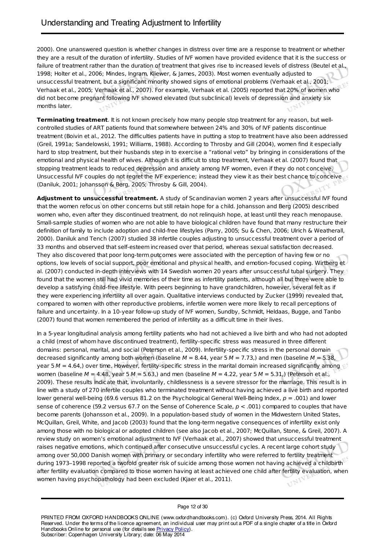2000). One unanswered question is whether changes in distress over time are a response to treatment or whether they are a result of the duration of infertility. Studies of IVF women have provided evidence that it is the success or failure of treatment rather than the duration of treatment that gives rise to increased levels of distress (Beutel et al., 1998; Holter et al., 2006; Mindes, Ingram, Kliewer, & James, 2003). Most women eventually adjusted to unsuccessful treatment, but a significant minority showed signs of emotional problems (Verhaak et al., 2001; Verhaak et al., 2005; Verhaak et al., 2007). For example, Verhaak et al. (2005) reported that 20% of women who did not become pregnant following IVF showed elevated (but subclinical) levels of depression and anxiety six months later.

**Terminating treatment**. It is not known precisely how many people stop treatment for any reason, but wellcontrolled studies of ART patients found that somewhere between 24% and 30% of IVF patients discontinue treatment (Boivin et al., 2012. The difficulties patients have in putting a stop to treatment have also been addressed (Greil, 1991a; Sandelowski, 1991; Williams, 1988). According to Throsby and Gill (2004), women find it especially hard to stop treatment, but their husbands step in to exercise a "rational veto" by bringing in considerations of the emotional and physical health of wives. Although it is difficult to stop treatment, Verhaak et al. (2007) found that stopping treatment leads to reduced depression and anxiety among IVF women, even if they do not conceive. Unsuccessful IVF couples do not regret the IVF experience; instead they view it as their best chance to conceive (Daniluk, 2001; Johansson & Berg, 2005; Throsby & Gill, 2004).

**Adjustment to unsuccessful treatment.** A study of Scandinavian women 2 years after unsuccessful IVF found that the women refocus on other concerns but still retain hope for a child. Johansson and Berg (2005) described women who, even after they discontinued treatment, do not relinquish hope, at least until they reach menopause. Small-sample studies of women who are not able to have biological children have found that many restructure their definition of family to include adoption and child-free lifestyles (Parry, 2005; Su & Chen, 2006; Ulrich & Weatherall, 2000). Daniluk and Tench (2007) studied 38 infertile couples adjusting to unsuccessful treatment over a period of 33 months and observed that self-esteem increased over that period, whereas sexual satisfaction decreased. They also discovered that poor long-term outcomes were associated with the perception of having few or no options, low levels of social support, poor emotional and physical health, and emotion-focused coping. Wirtberg et al. (2007) conducted in-depth interviews with 14 Swedish women 20 years after unsuccessful tubal surgery. They found that the women still had vivid memories of their time as infertility patients, although all but three were able to develop a satisfying child-free lifestyle. With peers beginning to have grandchildren, however, several felt as if they were experiencing infertility all over again. Qualitative interviews conducted by Zucker (1999) revealed that, compared to women with other reproductive problems, infertile women were more likely to recall perceptions of failure and uncertainty. In a 10-year follow-up study of IVF women, Sundby, Schmidt, Heldaas, Bugge, and Tanbo (2007) found that women remembered the period of infertility as a difficult time in their lives.

In a 5-year longitudinal analysis among fertility patients who had not achieved a live birth and who had not adopted a child (most of whom have discontinued treatment), fertility-specific stress was measured in three different domains: personal, marital, and social (Peterson et al., 2009). Infertility-specific stress in the personal domain decreased significantly among both women (baseline  $M = 8.44$ , year 5  $M = 7.73$ ,) and men (baseline  $M = 5.38$ , year  $5 M = 4.64$ ,) over time. However, fertility-specific stress in the marital domain increased significantly among women (baseline  $M = 4.48$ , year 5  $M = 5.63$ ,) and men (baseline  $M = 4.22$ , year 5  $M = 5.31$ ,) (Peterson et al., 2009). These results indicate that, involuntarily, childlessness is a severe stressor for the marriage. This result is in line with a study of 270 infertile couples who terminated treatment without having achieved a live birth and reported lower general well-being (69.6 versus 81.2 on the Psychological General Well-Being Index,  $p = .001$ ) and lower sense of coherence (59.2 versus 67.7 on the Sense of Coherence Scale,  $p < .001$ ) compared to couples that have become parents (Johansson et al., 2009). In a population-based study of women in the Midwestern United States, McQuillan, Greil, White, and Jacob (2003) found that the long-term negative consequences of infertility exist only among those with no biological or adopted children (see also Jacob et al., 2007; McQuillan, Stone, & Greil, 2007). A review study on women's emotional adjustment to IVF (Verhaak et al., 2007) showed that unsuccessful treatment raises negative emotions, which continued after consecutive unsuccessful cycles. A recent large cohort study among over 50,000 Danish women with primary or secondary infertility who were referred to fertility treatment during 1973–1998 reported a twofold greater risk of suicide among those women not having achieved a childbirth after fertility evaluation compared to those women having at least achieved one child after fertility evaluation, when<br>women having psychopathology had been excluded (Kjaer et al., 2011).<br>. women having psychopathology had been excluded (Kjaer et al., 2011).

Page 12 of 30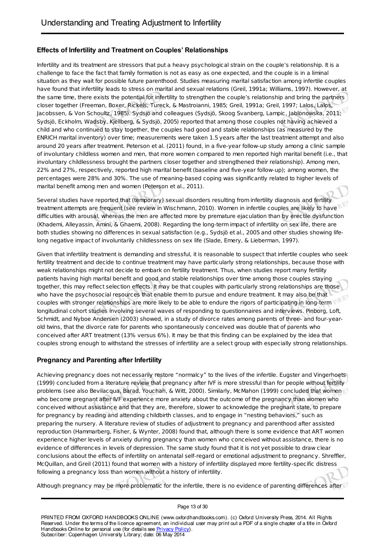# **Effects of Infertility and Treatment on Couples' Relationships**

Infertility and its treatment are stressors that put a heavy psychological strain on the couple's relationship. It is a challenge to face the fact that family formation is not as easy as one expected, and the couple is in a liminal situation as they wait for possible future parenthood. Studies measuring marital satisfaction among infertile couples have found that infertility leads to stress on marital and sexual relations (Greil, 1991a; Williams, 1997). However, at the same time, there exists the potential for infertility to strengthen the couple's relationship and bring the partners closer together (Freeman, Boxer, Rickels, Tureck, & Mastroianni, 1985; Greil, 1991a; Greil, 1997; Lalos, Lalos, Jacobssen, & Von Schoultz, 1985). Sydsjö and colleagues (Sydsjö, Skoog Svanberg, Lampic, Jablonowska, 2011; Sydsjö, Eckholm, Wadsby, Kjellberg, & Sydsjö, 2005) reported that among those couples not having achieved a child and who continued to stay together, the couples had good and stable relationships (as measured by the ENRICH marital inventory) over time; measurements were taken 1.5 years after the last treatment attempt and also around 20 years after treatment. Peterson et al. (2011) found, in a five-year follow-up study among a clinic sample of involuntary childless women and men, that more women compared to men reported high marital benefit (i.e., that involuntary childlessness brought the partners closer together and strengthened their relationship). Among men, 22% and 27%, respectively, reported high marital benefit (baseline and five-year follow-up); among women, the percentages were 28% and 30%. The use of meaning-based coping was significantly related to higher levels of marital benefit among men and women (Peterson et al., 2011).

V.

Several studies have reported that (temporary) sexual disorders resulting from infertility diagnosis and fertility treatment attempts are frequent (see review in Wischmann, 2010). Women in infertile couples are likely to have difficulties with arousal, whereas the men are affected more by premature ejaculation than by erectile dysfunction (Khademi, Alleyassin, Amini, & Ghaemi, 2008). Regarding the long-term impact of infertility on sex life, there are both studies showing no differences in sexual satisfaction (e.g., Sydsjö et al., 2005 and other studies showing lifelong negative impact of involuntarily childlessness on sex life (Slade, Emery, & Lieberman, 1997).

Given that infertility treatment is demanding and stressful, it is reasonable to suspect that infertile couples who seek fertility treatment and decide to continue treatment may have particularly strong relationships, because those with weak relationships might not decide to embark on fertility treatment. Thus, when studies report many fertility patients having high marital benefit and good and stable relationships over time among those couples staying together, this may reflect selection effects. It may be that couples with particularly strong relationships are those who have the psychosocial resources that enable them to pursue and endure treatment. It may also be that couples with stronger relationships are more likely to be able to endure the rigors of participating in long-term longitudinal cohort studies involving several waves of responding to questionnaires and interviews. Pinborg, Loft, Schmidt, and Nyboe Andersen (2003) showed, in a study of divorce rates among parents of three- and four-yearold twins, that the divorce rate for parents who spontaneously conceived was double that of parents who conceived after ART treatment (13% versus 6%). It may be that this finding can be explained by the idea that couples strong enough to withstand the stresses of infertility are a select group with especially strong relationships.

# **Pregnancy and Parenting after Infertility**

Achieving pregnancy does not necessarily restore "normalcy" to the lives of the infertile. Eugster and Vingerhoets (1999) concluded from a literature review that pregnancy after IVF is more stressful than for people without fertility problems (see also Bevilacqua, Barad, Youchah, & Witt, 2000). Similarly, McMahon (1999) concluded that women who become pregnant after IVF experience more anxiety about the outcome of the pregnancy than women who conceived without assistance and that they are, therefore, slower to acknowledge the pregnant state, to prepare for pregnancy by reading and attending childbirth classes, and to engage in "nesting behaviors," such as preparing the nursery. A literature review of studies of adjustment to pregnancy and parenthood after assisted reproduction (Hammarberg, Fisher, & Wynter, 2008) found that, although there is some evidence that ART women experience higher levels of anxiety during pregnancy than women who conceived without assistance, there is no evidence of differences in levels of depression. The same study found that it is not yet possible to draw clear conclusions about the effects of infertility on antenatal self-regard or emotional adjustment to pregnancy. Shreffler, McQuillan, and Greil (2011) found that women with a history of infertility displayed more fertility-specific distress following a pregnancy loss than women without a history of infertility.

Although pregnancy may be more problematic for the infertile, there is no evidence of parenting differences after

Page 13 of 30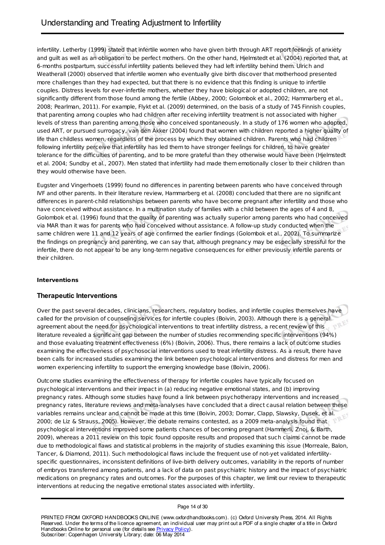infertility. Letherby (1999) stated that infertile women who have given birth through ART report feelings of anxiety and guilt as well as an obligation to be perfect mothers. On the other hand, Hjelmstedt et al. (2004) reported that, at 6-months postpartum, successful infertility patients believed they had left infertility behind them. Ulrich and Weatherall (2000) observed that infertile women who eventually give birth discover that motherhood presented more challenges than they had expected, but that there is no evidence that this finding is unique to infertile couples. Distress levels for ever-infertile mothers, whether they have biological or adopted children, are not significantly different from those found among the fertile (Abbey, 2000; Golombok et al., 2002; Hammarberg et al., 2008; Pearlman, 2011). For example, Flykt et al. (2009) determined, on the basis of a study of 745 Finnish couples, that parenting among couples who had children after receiving infertility treatment is not associated with higher levels of stress than parenting among those who conceived spontaneously. In a study of 176 women who adopted, used ART, or pursued surrogacy, van den Akker (2004) found that women with children reported a higher quality of life than childless women, regardless of the process by which they obtained children. Parents who had children following infertility perceive that infertility has led them to have stronger feelings for children, to have greater tolerance for the difficulties of parenting, and to be more grateful than they otherwise would have been (Hjelmstedt et al. 2004; Sundby et al., 2007). Men stated that infertility had made them emotionally closer to their children than they would otherwise have been.

Eugster and Vingerhoets (1999) found no differences in parenting between parents who have conceived through IVF and other parents. In their literature review, Hammarberg et al. (2008) concluded that there are no significant differences in parent-child relationships between parents who have become pregnant after infertility and those who have conceived without assistance. In a multination study of families with a child between the ages of 4 and 8, Golombok et al. (1996) found that the quality of parenting was actually superior among parents who had conceived via MAR than it was for parents who had conceived without assistance. A follow-up study conducted when the same children were 11 and 12 years of age confirmed the earlier findings (Golombok et al., 2002). To summarize the findings on pregnancy and parenting, we can say that, although pregnancy may be especially stressful for the infertile, there do not appear to be any long-term negative consequences for either previously infertile parents or<br>their children.<br>Int their children.

#### **Interventions**

# **Therapeutic Interventions**

Over the past several decades, clinicians, researchers, regulatory bodies, and infertile couples themselves have called for the provision of counseling services for infertile couples (Boivin, 2003). Although there is a general agreement about the need for psychological interventions to treat infertility distress, a recent review of this literature revealed a significant gap between the number of studies recommending specific interventions (94%) and those evaluating treatment effectiveness (6%) (Boivin, 2006). Thus, there remains a lack of outcome studies examining the effectiveness of psychosocial interventions used to treat infertility distress. As a result, there have been calls for increased studies examining the link between psychological interventions and distress for men and women experiencing infertility to support the emerging knowledge base (Boivin, 2006).

Outcome studies examining the effectiveness of therapy for infertile couples have typically focused on psychological interventions and their impact in (a) reducing negative emotional states, and (b) improving pregnancy rates. Although some studies have found a link between psychotherapy interventions and increased pregnancy rates, literature reviews and meta-analyses have concluded that a direct causal relation between these variables remains unclear and cannot be made at this time (Boivin, 2003; Domar, Clapp, Slawsky, Dusek, et al. 2000; de Liz & Strauss, 2005). However, the debate remains contested, as a 2009 meta-analysis found that psychological interventions improved some patients chances of becoming pregnant (Hammerli, Znoj, & Barth, 2009), whereas a 2011 review on this topic found opposite results and proposed that such claims cannot be made due to methodological flaws and statistical problems in the majority of studies examining this issue (Morreale, Balon, Tancer, & Diamond, 2011). Such methodological flaws include the frequent use of not-yet validated infertilityspecific questionnaires, inconsistent definitions of live-birth delivery outcomes, variability in the reports of number of embryos transferred among patients, and a lack of data on past psychiatric history and the impact of psychiatric medications on pregnancy rates and outcomes. For the purposes of this chapter, we limit our review to therapeutic interventions at reducing the negative emotional states associated with infertility.

#### Page 14 of 30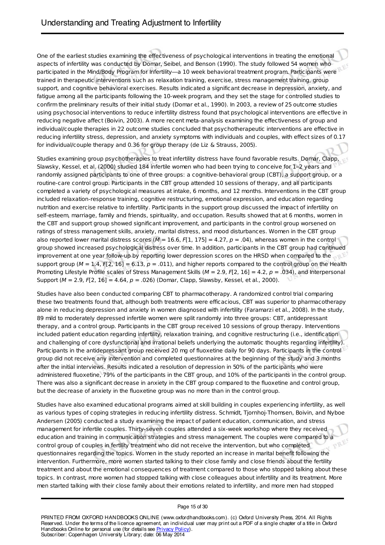One of the earliest studies examining the effectiveness of psychological interventions in treating the emotional aspects of infertility was conducted by Domar, Seibel, and Benson (1990). The study followed 54 women who participated in the Mind/Body Program for Infertility—a 10 week behavioral treatment program. Participants were trained in therapeutic interventions such as relaxation training, exercise, stress management training, group support, and cognitive behavioral exercises. Results indicated a significant decrease in depression, anxiety, and fatigue among all the participants following the 10-week program, and they set the stage for controlled studies to confirm the preliminary results of their initial study (Domar et al., 1990). In 2003, a review of 25 outcome studies using psychosocial interventions to reduce infertility distress found that psychological interventions are effective in reducing negative affect (Boivin, 2003). A more recent meta-analysis examining the effectiveness of group and individual/couple therapies in 22 outcome studies concluded that psychotherapeutic interventions are effective in reducing infertility stress, depression, and anxiety symptoms with individuals and couples, with effect sizes of 0.17 for individual/couple therapy and 0.36 for group therapy (de Liz & Strauss, 2005).

Studies examining group psychotherapies to treat infertility distress have found favorable results. Domar, Clapp, Slawsky, Kessel, et al. (2000) studied 184 infertile women who had been trying to conceive for 1–2 years and randomly assigned participants to one of three groups: a cognitive-behavioral group (CBT), a support group, or a routine-care control group. Participants in the CBT group attended 10 sessions of therapy, and all participants completed a variety of psychological measures at intake, 6 months, and 12 months. Interventions in the CBT group included relaxation-response training, cognitive restructuring, emotional expression, and education regarding nutrition and exercise relative to infertility. Participants in the support group discussed the impact of infertility on self-esteem, marriage, family and friends, spirituality, and occupation. Results showed that at 6 months, women in the CBT and support group showed significant improvement, and participants in the control group worsened on ratings of stress management skills, anxiety, marital distress, and mood disturbances. Women in the CBT group also reported lower marital distress scores ( $M = 16.6$ , F[1, 175] = 4.27,  $p = .04$ ), whereas women in the control group showed increased psychological distress over time. In addition, participants in the CBT group had continued improvement at one year follow-up by reporting lower depression scores on the HRSD when compared to the support group ( $M = 1.4$ , F[2, 16] = 6.13,  $p = .011$ ), and higher reports compared to the control group on the Health Promoting Lifestyle Profile scales of Stress Management Skills ( $M = 2.9$ ,  $F[2, 16] = 4.2$ ,  $p = .034$ ), and Interpersonal Support ( $M = 2.9$ ,  $F[2, 16] = 4.64$ ,  $p = .026$ ) (Domar, Clapp, Slawsby, Kessel, et al., 2000).

Studies have also been conducted comparing CBT to pharmacotherapy. A randomized control trial comparing these two treatments found that, although both treatments were efficacious, CBT was superior to pharmacotherapy alone in reducing depression and anxiety in women diagnosed with infertility (Faramarzi et al., 2008). In the study, 89 mild to moderately depressed infertile women were split randomly into three groups: CBT, antidepressant therapy, and a control group. Participants in the CBT group received 10 sessions of group therapy. Interventions included patient education regarding infertility, relaxation training, and cognitive restructuring (i.e., identification and challenging of core dysfunctional and irrational beliefs underlying the automatic thoughts regarding infertility). Participants in the antidepressant group received 20 mg of fluoxetine daily for 90 days. Participants in the control group did not receive any intervention and completed questionnaires at the beginning of the study and 3 months after the initial interviews. Results indicated a resolution of depression in 50% of the participants who were administered fluoxetine, 79% of the participants in the CBT group, and 10% of the participants in the control group. There was also a significant decrease in anxiety in the CBT group compared to the fluoxetine and control group, but the decrease of anxiety in the fluoxetine group was no more than in the control group.

Studies have also examined educational programs aimed at skill building in couples experiencing infertility, as well as various types of coping strategies in reducing infertility distress. Schmidt, Tjornhoj-Thomsen, Boivin, and Nyboe Andersen (2005) conducted a study examining the impact of patient education, communication, and stress management for infertile couples. Thirty-seven couples attended a six-week workshop where they received education and training in communication strategies and stress management. The couples were compared to a control group of couples in fertility treatment who did not receive the intervention, but who completed questionnaires regarding the topics. Women in the study reported an increase in marital benefit following the intervention. Furthermore, more women started talking to their close family and close friends about the fertility treatment and about the emotional consequences of treatment compared to those who stopped talking about these topics. In contrast, more women had stopped talking with close colleagues about infertility and its treatment. More men started talking with their close family about their emotions related to infertility, and more men had stopped

#### Page 15 of 30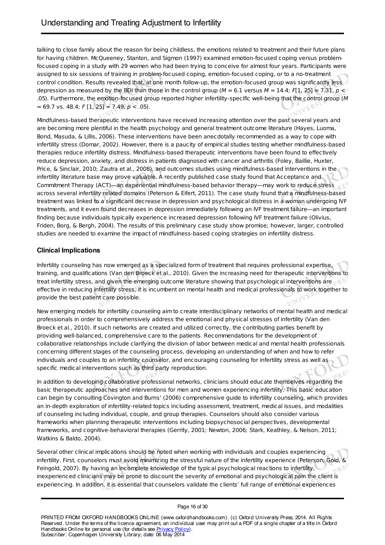talking to close family about the reason for being childless, the emotions related to treatment and their future plans for having children. McQueeney, Stanton, and Sigmon (1997) examined emotion-focused coping versus problemfocused coping in a study with 29 women who had been trying to conceive for almost four years. Participants were assigned to six sessions of training in problem-focused coping, emotion-focused coping, or to a no-treatment control condition. Results revealed that, at one month follow-up, the emotion-focused group was significantly less depression as measured by the BDI than those in the control group ( $M = 6.1$  versus  $M = 14.4$ ;  $F[1, 25] = 7.31$ ,  $p <$ .05). Furthermore, the emotion-focused group reported higher infertility-specific well-being that the control group (M  $= 69.7$  vs. 48.4;  $F [1, 25] = 7.49$ ,  $p < .05$ ).

Mindfulness-based therapeutic interventions have received increasing attention over the past several years and are becoming more plentiful in the health psychology and general treatment outcome literature (Hayes, Luoma, Bond, Masuda, & Lillis, 2006). These interventions have been anecdotally recommended as a way to cope with infertility stress (Domar, 2002). However, there is a paucity of empirical studies testing whether mindfulness-based therapies reduce infertility distress. Mindfulness-based therapeutic interventions have been found to effectively reduce depression, anxiety, and distress in patients diagnosed with cancer and arthritis (Foley, Baillie, Huxter, Price, & Sinclair, 2010; Zautra et al., 2008), and outcomes studies using mindfulness-based interventions in the infertility literature base may prove valuable. A recently published case study found that Acceptance and Commitment Therapy (ACT)—an experiential mindfulness-based behavior therapy—may work to reduce stress across several infertility related domains (Peterson & Eifert, 2011). The case study found that a mindfulness-based treatment was linked to a significant decrease in depression and psychological distress in a woman undergoing IVF treatments, and it even found decreases in depression immediately following an IVF treatment failure—an important finding because individuals typically experience increased depression following IVF treatment failure (Olivius, Friden, Borg, & Bergh, 2004). The results of this preliminary case study show promise; however, larger, controlled studies are needed to examine the impact of mindfulness-based coping strategies on infertility distress.

# **Clinical Implications**

Infertility counseling has now emerged as a specialized form of treatment that requires professional expertise, training, and qualifications (Van den Broeck et al., 2010). Given the increasing need for therapeutic interventions to treat infertility stress, and given the emerging outcome literature showing that psychological interventions are effective in reducing infertility stress, it is incumbent on mental health and medical professionals to work together to provide the best patient care possible.

New emerging models for infertility counseling aim to create interdisciplinary networks of mental health and medical professionals in order to comprehensively address the emotional and physical stresses of infertility (Van den Broeck et al., 2010). If such networks are created and utilized correctly, the contributing parties benefit by providing well-balanced, comprehensive care to the patients. Recommendations for the development of collaborative relationships include clarifying the division of labor between medical and mental health professionals concerning different stages of the counseling process, developing an understanding of when and how to refer individuals and couples to an infertility counselor, and encouraging counseling for infertility stress as well as specific medical interventions such as third party reproduction.

In addition to developing collaborative professional networks, clinicians should educate themselves regarding the basic therapeutic approaches and interventions for men and women experiencing infertility. This basic education can begin by consulting Covington and Burns' (2006) comprehensive guide to infertility counseling, which provides an in-depth exploration of infertility-related topics including assessment, treatment, medical issues, and modalities of counseling including individual, couple, and group therapies. Counselors should also consider various frameworks when planning therapeutic interventions including biopsychosocial perspectives, developmental frameworks, and cognitive-behavioral therapies (Gerrity, 2001; Newton, 2006; Stark, Keathley, & Nelson, 2011; Watkins & Baldo, 2004).

Several other clinical implications should be noted when working with individuals and couples experiencing infertility. First, counselors must avoid minimizing the stressful nature of the infertility experience (Peterson, Gold, & Feingold, 2007). By having an incomplete knowledge of the typical psychological reactions to infertility, inexperienced clinicians may be prone to discount the severity of emotional and psychological pain the client is experiencing. In addition, it is essential that counselors validate the clients' full range of emotional experiences

#### Page 16 of 30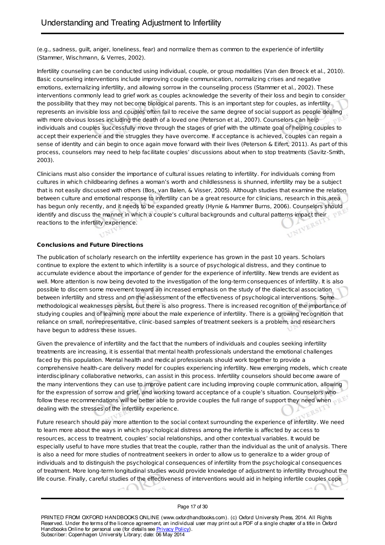(e.g., sadness, guilt, anger, loneliness, fear) and normalize them as common to the experience of infertility (Stammer, Wischmann, & Verres, 2002).

Infertility counseling can be conducted using individual, couple, or group modalities (Van den Broeck et al., 2010). Basic counseling interventions include improving couple communication, normalizing crises and negative emotions, externalizing infertility, and allowing sorrow in the counseling process (Stammer et al., 2002). These interventions commonly lead to grief work as couples acknowledge the severity of their loss and begin to consider the possibility that they may not become biological parents. This is an important step for couples, as infertility represents an invisible loss and couples often fail to receive the same degree of social support as people dealing with more obvious losses including the death of a loved one (Peterson et al., 2007). Counselors can help individuals and couples successfully move through the stages of grief with the ultimate goal of helping couples to accept their experience and the struggles they have overcome. If acceptance is achieved, couples can regain a sense of identity and can begin to once again move forward with their lives (Peterson & Eifert, 2011). As part of this process, counselors may need to help facilitate couples' discussions about when to stop treatments (Savitz-Smith, 2003).

Clinicians must also consider the importance of cultural issues relating to infertility. For individuals coming from cultures in which childbearing defines a woman's worth and childlessness is shunned, infertility may be a subject that is not easily discussed with others (Bos, van Balen, & Visser, 2005). Although studies that examine the relation between culture and emotional response to infertility can be a great resource for clinicians, research in this area has begun only recently, and it needs to be expanded greatly (Hynie & Hammer Burns, 2006). Counselors should identify and discuss the manner in which a couple's cultural backgrounds and cultural patterns impact their reactions to the infertility experience.

# **Conclusions and Future Directions**

The publication of scholarly research on the infertility experience has grown in the past 10 years. Scholars continue to explore the extent to which infertility is a source of psychological distress, and they continue to accumulate evidence about the importance of gender for the experience of infertility. New trends are evident as well. More attention is now being devoted to the investigation of the long-term consequences of infertility. It is also possible to discern some movement toward an increased emphasis on the study of the dialectical association between infertility and stress and on the assessment of the effectiveness of psychological interventions. Some methodological weaknesses persist, but there is also progress. There is increased recognition of the importance of studying couples and of learning more about the male experience of infertility. There is a growing recognition that reliance on small, nonrepresentative, clinic-based samples of treatment seekers is a problem, and researchers<br>have begun to address these issues. have begun to address these issues. 

Given the prevalence of infertility and the fact that the numbers of individuals and couples seeking infertility treatments are increasing, it is essential that mental health professionals understand the emotional challenges faced by this population. Mental health and medical professionals should work together to provide a comprehensive health-care delivery model for couples experiencing infertility. New emerging models, which create interdisciplinary collaborative networks, can assist in this process. Infertility counselors should become aware of the many interventions they can use to improve patient care including improving couple communication, allowing for the expression of sorrow and grief, and working toward acceptance of a couple's situation. Counselors who follow these recommendations will be better able to provide couples the full range of support they need when dealing with the stresses of the infertility experience.

Future research should pay more attention to the social context surrounding the experience of infertility. We need to learn more about the ways in which psychological distress among the infertile is affected by access to resources, access to treatment, couples' social relationships, and other contextual variables. It would be especially useful to have more studies that treat the couple, rather than the individual as the unit of analysis. There is also a need for more studies of nontreatment seekers in order to allow us to generalize to a wider group of individuals and to distinguish the psychological consequences of infertility from the psychological consequences of treatment. More long-term longitudinal studies would provide knowledge of adjustment to infertility throughout the life course. Finally, careful studies of the effectiveness of interventions would aid in helping infertile couples cope

#### Page 17 of 30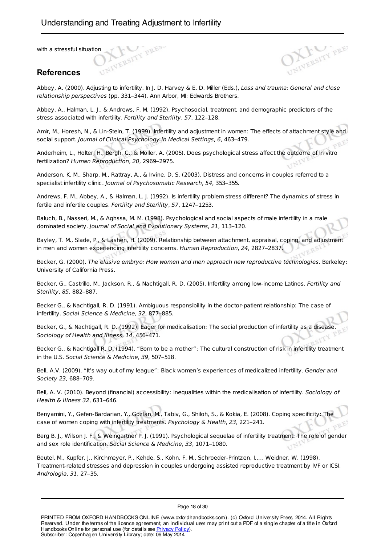with a stressful situation

# **References**

Abbey, A. (2000). Adjusting to infertility. In J. D. Harvey & E. D. Miller (Eds.), Loss and trauma: General and close relationship perspectives (pp. 331–344). Ann Arbor, MI: Edwards Brothers.

Abbey, A., Halman, L. J., & Andrews, F. M. (1992). Psychosocial, treatment, and demographic predictors of the stress associated with infertility. Fertility and Sterility, 57, 122–128.

Amir, M., Horesh, N., & Lin-Stein, T. (1999). Infertility and adjustment in women: The effects of attachment style and social support. Journal of Clinical Psychology in Medical Settings, 6, 463–479.

Anderheim, L., Holter, H., Bergh, C., & Möller, A. (2005). Does psychological stress affect the outcome of in vitro fertilization? Human Reproduction, 20, 2969–2975.

Anderson, K. M., Sharp, M., Rattray, A., & Irvine, D. S. (2003). Distress and concerns in couples referred to a specialist infertility clinic. Journal of Psychosomatic Research, 54, 353–355.

Andrews, F. M., Abbey, A., & Halman, L. J. (1992). Is infertility problem stress different? The dynamics of stress in fertile and infertile couples. Fertility and Sterility, 57, 1247–1253.

Baluch, B., Nasseri, M., & Aghssa, M. M. (1998). Psychological and social aspects of male infertility in a male dominated society. Journal of Social and Evolutionary Systems, 21, 113–120.

Bayley, T. M., Slade, P., & Lashen, H. (2009). Relationship between attachment, appraisal, coping, and adjustment in men and women experiencing infertility concerns. Human Reproduction, 24, 2827–2837.

Becker, G. (2000). The elusive embryo: How women and men approach new reproductive technologies. Berkeley: University of California Press.

Becker, G., Castrillo, M., Jackson, R., & Nachtigall, R. D. (2005). Infertility among low-income Latinos. Fertility and Sterility, 85, 882–887.

Becker G., & Nachtigall, R. D. (1991). Ambiguous responsibility in the doctor-patient relationship: The case of infertility. Social Science & Medicine, 32, 877–885.

Becker, G., & Nachtigall, R. D. (1992). Eager for medicalisation: The social production of infertility as a disease. Sociology of Health and Illness, 14, 456–471.

Becker G., & Nachtigall R. D. (1994). "Born to be a mother": The cultural construction of risk in infertility treatment in the U.S. Social Science & Medicine, 39, 507–518.

Bell, A.V. (2009). "It's way out of my league": Black women's experiences of medicalized infertility. Gender and Society 23, 688–709.

Bell, A. V. (2010). Beyond (financial) accessibility: Inequalities within the medicalisation of infertility. Sociology of Health & Illness 32, 631–646.

Benyamini, Y., Gefen-Bardarian, Y., Gozlan, M., Tabiv, G., Shiloh, S., & Kokia, E. (2008). Coping specificity: The case of women coping with infertility treatments. Psychology & Health, 23, 221–241.

Berg B. J., Wilson J. F., & Weingartner P. J. (1991). Psychological sequelae of infertility treatment: The role of gender and sex role identification. Social Science & Medicine, 33, 1071–1080.

Beutel, M., Kupfer, J., Kirchmeyer, P., Kehde, S., Kohn, F. M., Schroeder-Printzen, I.,… Weidner, W. (1998). Treatment-related stresses and depression in couples undergoing assisted reproductive treatment by IVF or ICSI. Andrologia, 31, 27–35.

Page 18 of 30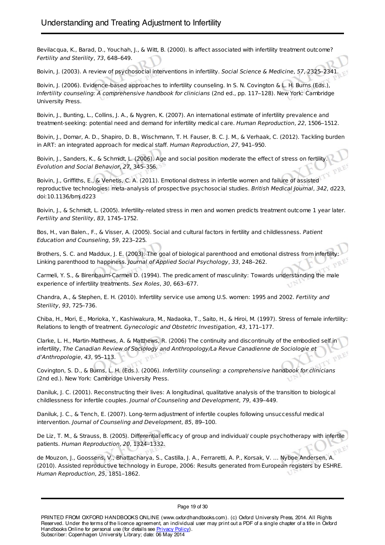Bevilacqua, K., Barad, D., Youchah, J., & Witt, B. (2000). Is affect associated with infertility treatment outcome? Fertility and Sterility, 73, 648–649.

Boivin, J. (2003). A review of psychosocial interventions in infertility. Social Science & Medicine, 57, 2325–2341.

Boivin, J. (2006). Evidence-based approaches to infertility counseling. In S. N. Covington & L. H. Burns (Eds.), Infertility counseling: A comprehensive handbook for clinicians (2nd ed., pp. 117–128). New York: Cambridge University Press.

Boivin, J., Bunting, L., Collins, J. A., & Nygren, K. (2007). An international estimate of infertility prevalence and treatment-seeking: potential need and demand for infertility medical care. Human Reproduction, 22, 1506–1512.

Boivin, J., Domar, A. D., Shapiro, D. B., Wischmann, T. H. Fauser, B. C. J. M., & Verhaak, C. (2012). Tackling burden in ART: an integrated approach for medical staff. Human Reproduction, 27, 941–950.

Boivin, J., Sanders, K., & Schmidt, L. (2006). Age and social position moderate the effect of stress on fertility. Evolution and Social Behavior, 27, 345–356.

Boivin, J., Griffiths, E., & Venetis, C. A. (2011). Emotional distress in infertile women and failure of assisted reproductive technologies: meta-analysis of prospective psychosocial studies. British Medical Journal, 342, d223 doi:10.1136/bmj.d223

Boivin, J., & Schmidt, L. (2005). Infertility-related stress in men and women predicts treatment outcome 1 year later. Fertility and Sterility, 83, 1745–1752.

Bos, H., van Balen., F., & Visser, A. (2005). Social and cultural factors in fertility and childlessness. Patient Education and Counseling, 59, 223–225.

Brothers, S. C. and Maddux, J. E. (2003). The goal of biological parenthood and emotional distress from infertility: Linking parenthood to happiness. Journal of Applied Social Psychology, 33, 248–262.

Carmeli, Y. S., & Birenbaum-Carmeli D. (1994). The predicament of masculinity: Towards understanding the male experience of infertility treatments. Sex Roles, 30, 663–677.

Chandra, A., & Stephen, E. H. (2010). Infertility service use among U.S. women: 1995 and 2002. Fertility and Sterility, 93, 725–736.

Chiba, H., Mori, E., Morioka, Y., Kashiwakura, M., Nadaoka, T., Saito, H., & Hiroi, M. (1997). Stress of female infertility: Relations to length of treatment. Gynecologic and Obstetric Investigation, 43, 171–177.

Clarke, L. H., Martin-Matthews, A. & Matthews, R. (2006) The continuity and discontinuity of the embodied self in infertility, The Canadian Review of Sociology and Anthropology/La Revue Canadienne de Sociologie et d'Anthropologie, 43, 95–113.

Covington, S. D., & Burns, L. H. (Eds.). (2006). Infertility counseling: a comprehensive handbook for clinicians (2nd ed.). New York: Cambridge University Press.

Daniluk, J. C. (2001). Reconstructing their lives: A longitudinal, qualitative analysis of the transition to biological childlessness for infertile couples. Journal of Counseling and Development, 79, 439–449.

Daniluk, J. C., & Tench, E. (2007). Long-term adjustment of infertile couples following unsuccessful medical intervention. Journal of Counseling and Development, 85, 89–100.

De Liz, T. M., & Strauss, B. (2005). Differential efficacy of group and individual/ couple psychotherapy with infertile patients. Human Reproduction, 20, 1324–1332.

de Mouzon, J., Goossens, V., Bhattacharya, S., Castilla, J. A., Ferraretti, A. P., Korsak, V. … Nyboe Andersen, A. (2010). Assisted reproductive technology in Europe, 2006: Results generated from European registers by ESHRE. Human Reproduction, 25, 1851–1862.

Page 19 of 30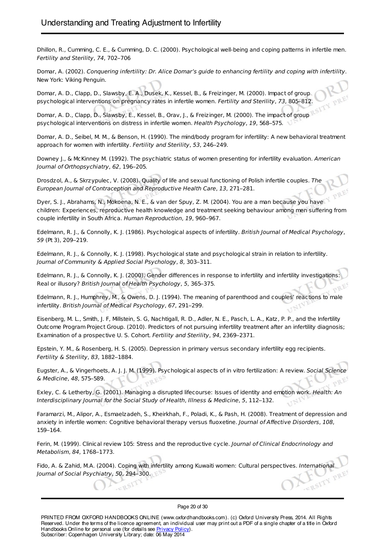Dhillon, R., Cumming, C. E., & Cumming, D. C. (2000). Psychological well-being and coping patterns in infertile men. Fertility and Sterility, 74, 702–706

Domar, A. (2002). Conquering infertility: Dr. Alice Domar's guide to enhancing fertility and coping with infertility. New York: Viking Penguin.

Domar, A. D., Clapp, D., Slawsby, E. A., Dusek, K., Kessel, B., & Freizinger, M. (2000). Impact of group psychological interventions on pregnancy rates in infertile women. Fertility and Sterility, 73, 805–812.

Domar, A. D., Clapp, D., Slawsby, E., Kessel, B., Orav, J., & Freizinger, M. (2000). The impact of group psychological interventions on distress in infertile women. Health Psychology, 19, 568–575.

Domar, A. D., Seibel, M. M., & Benson, H. (1990). The mind/body program for infertility: A new behavioral treatment approach for women with infertility. Fertility and Sterility, 53, 246–249.

Downey J., & McKinney M. (1992). The psychiatric status of women presenting for infertility evaluation. American Journal of Orthopsychiatry, 62, 196–205.

Drosdzol, A., & Skrzypulec, V. (2008). Quality of life and sexual functioning of Polish infertile couples. The European Journal of Contraception and Reproductive Health Care, 13, 271–281.

Dyer, S. J., Abrahams, N., Mokoena, N. E., & van der Spuy, Z. M. (2004). You are a man because you have children: Experiences, reproductive health knowledge and treatment seeking behaviour among men suffering from couple infertility in South Africa. Human Reproduction, 19, 960–967.

Edelmann, R. J., & Connolly, K. J. (1986). Psychological aspects of infertility. British Journal of Medical Psychology, 59 (Pt 3), 209–219.

Edelmann, R. J., & Connolly, K. J. (1998). Psychological state and psychological strain in relation to infertility. Journal of Community & Applied Social Psychology, 8, 303–311.

Edelmann, R. J., & Connolly, K. J. (2000). Gender differences in response to infertility and infertility investigations: Real or illusory? British Journal of Health Psychology, 5, 365–375.

Edelmann, R. J., Humphrey, M., & Owens, D. J. (1994). The meaning of parenthood and couples' reactions to male infertility. British Journal of Medical Psychology, 67, 291–299.

Eisenberg, M. L., Smith, J. F, Millstein, S. G, Nachtigall, R. D., Adler, N. E., Pasch, L. A., Katz, P. P., and the Infertility Outcome Program Project Group. (2010). Predictors of not pursuing infertility treatment after an infertility diagnosis; Examination of a prospective U. S. Cohort. Fertility and Sterility, 94, 2369–2371.

Epstein, Y. M., & Rosenberg, H. S. (2005). Depression in primary versus secondary infertility egg recipients. Fertility & Sterility, 83, 1882–1884.

Eugster, A., & Vingerhoets, A. J. J. M. (1999). Psychological aspects of in vitro fertilization: A review. Social Science & Medicine, 48, 575–589.

Exley, C. & Letherby, G. (2001). Managing a disrupted lifecourse: Issues of identity and emotion work. Health: An Interdisciplinary Journal for the Social Study of Health, Illness & Medicine, 5, 112–132.

Faramarzi, M., Alipor, A., Esmaelzadeh, S., Kheirkhah, F., Poladi, K., & Pash, H. (2008). Treatment of depression and anxiety in infertile women: Cognitive behavioral therapy versus fluoxetine. Journal of Affective Disorders, 108, 159–164.

Ferin, M. (1999). Clinical review 105: Stress and the reproductive cycle. Journal of Clinical Endocrinology and Metabolism, 84, 1768–1773.

Fido, A. & Zahid, M.A. (2004). Coping with infertility among Kuwaiti women: Cultural perspectives. International Journal of Social Psychiatry, 50, 294–300.

Page 20 of 30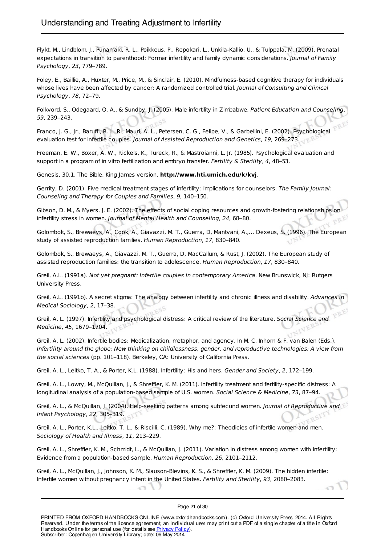Flykt, M., Lindblom, J., Punamaki, R. L., Poikkeus, P., Repokari, L., Unkila-Kallio, U., & Tulppala, M. (2009). Prenatal expectations in transition to parenthood: Former infertility and family dynamic considerations. Journal of Family Psychology, 23, 779–789.

Foley, E., Baillie, A., Huxter, M., Price, M., & Sinclair, E. (2010). Mindfulness-based cognitive therapy for individuals whose lives have been affected by cancer: A randomized controlled trial. Journal of Consulting and Clinical Psychology, 78, 72–79.

Folkvord, S., Odegaard, O. A., & Sundby, J. (2005). Male infertility in Zimbabwe. Patient Education and Counseling, 59, 239–243.

Franco, J. G., Jr., Baruffi, R. L. R., Mauri, A. L., Petersen, C. G., Felipe, V., & Garbellini, E. (2002). Psychological evaluation test for infertile couples. Journal of Assisted Reproduction and Genetics, 19, 269–273.

Freeman, E. W., Boxer, A. W., Rickels, K., Tureck, R., & Mastroianni, L. Jr. (1985). Psychological evaluation and support in a program of in vitro fertilization and embryo transfer. *Fertility & Sterility, 4,* 48–53.<br>Genesis, 30.1. The Bible, King James version. **http://www.princess.com/** 

Genesis, 30.1. The Bible, King James version. **http://www.hti.umich.edu/k/kvj**.

Gerrity, D. (2001). Five medical treatment stages of infertility: Implications for counselors. The Family Journal: Counseling and Therapy for Couples and Families, 9, 140–150.

Gibson, D. M., & Myers, J. E. (2002). The effects of social coping resources and growth-fostering relationships on infertility stress in women. Journal of Mental Health and Counseling, 24, 68–80.

Golombok, S., Brewaeys, A., Cook, A., Giavazzi, M. T., Guerra, D, Mantvani, A.,… Dexeus, S. (1996). The European study of assisted reproduction families. Human Reproduction, 17, 830–840.

Golombok, S., Brewaeys, A., Giavazzi, M. T., Guerra, D, MacCallum, & Rust, J. (2002). The European study of assisted reproduction families: the transition to adolescence. Human Reproduction, 17, 830–840.

Greil, A.L. (1991a). Not yet pregnant: Infertile couples in contemporary America. New Brunswick, NJ: Rutgers University Press.

Greil, A.L. (1991b). A secret stigma: The analogy between infertility and chronic illness and disability. Advances in Medical Sociology, 2, 17–38.

Greil, A. L. (1997). Infertility and psychological distress: A critical review of the literature. Social Science and Medicine, 45, 1679–1704.

Greil, A. L. (2002). Infertile bodies: Medicalization, metaphor, and agency. In M. C. Inhorn & F. van Balen (Eds.), Infertility around the globe: New thinking on childlessness, gender, and reproductive technologies: A view from the social sciences (pp. 101–118). Berkeley, CA: University of California Press.

Greil, A. L., Leitko, T. A., & Porter, K.L. (1988). Infertility: His and hers. Gender and Society, 2, 172–199.

Greil, A. L., Lowry, M., McQuillan, J., & Shreffler, K. M. (2011). Infertility treatment and fertility-specific distress: A longitudinal analysis of a population-based sample of U.S. women. Social Science & Medicine, 73, 87-94.

Greil, A. L., & McQuillan, J. (2004). Help-seeking patterns among subfecund women. Journal of Reproductive and Infant Psychology, 22, 305–319.

Greil, A. L., Porter, K.L., Leitko, T. L., & Riscilli, C. (1989). Why me?: Theodicies of infertile women and men. Sociology of Health and Illness, 11, 213–229.

Greil, A. L., Shreffler, K. M., Schmidt, L., & McQuillan, J. (2011). Variation in distress among women with infertility: Evidence from a population-based sample. Human Reproduction, 26, 2101–2112.

Greil, A. L., McQuillan, J., Johnson, K. M., Slauson-Blevins, K. S., & Shreffler, K. M. (2009). The hidden infertile: Infertile women without pregnancy intent in the United States. Fertility and Sterility, 93, 2080–2083.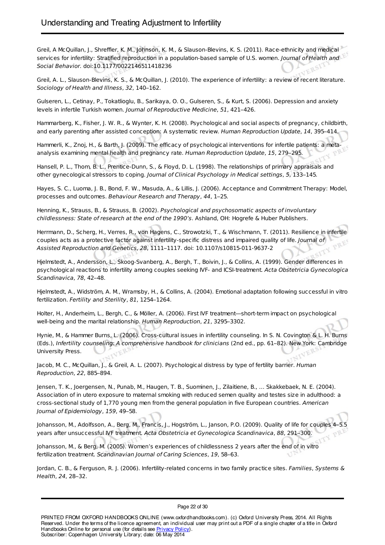Greil, A McQuillan, J., Shreffler, K. M., Johnson, K. M., & Slauson-Blevins, K. S. (2011). Race-ethnicity and medical services for infertility: Stratified reproduction in a population-based sample of U.S. women. Journal of Health and Social Behavior. doi:10.1177/0022146511418236

Greil, A. L., Slauson-Blevins, K. S., & McQuillan, J. (2010). The experience of infertility: a review of recent literature. Sociology of Health and Illness, 32, 140–162.

Gulseren, L., Cetinay, P., Tokatlioglu, B., Sarikaya, O. O., Gulseren, S., & Kurt, S. (2006). Depression and anxiety levels in infertile Turkish women. Journal of Reproductive Medicine, 51, 421–426.

Hammarberg, K., Fisher, J. W. R., & Wynter, K. H. (2008). Psychological and social aspects of pregnancy, childbirth, and early parenting after assisted conception: A systematic review. Human Reproduction Update, 14, 395–414.

Hammerli, K., Znoj, H., & Barth, J. (2009). The efficacy of psychological interventions for infertile patients: a metaanalysis examining mental health and pregnancy rate. Human Reproduction Update, 15, 279–295.

Hansell, P. L., Thom, B. L., Prentice-Dunn, S., & Floyd, D. L. (1998). The relationships of primary appraisals and other gynecological stressors to coping. Journal of Clinical Psychology in Medical settings, 5, 133–145.

Hayes, S. C., Luoma, J. B., Bond, F. W., Masuda, A., & Lillis, J. (2006). Acceptance and Commitment Therapy: Model, processes and outcomes. Behaviour Research and Therapy, 44, 1–25.

Henning, K., Strauss, B., & Strauss, B. (2002). Psychological and psychosomatic aspects of involuntary childlessness: State of research at the end of the 1990's. Ashland, OH: Hogrefe & Huber Publishers.

Herrmann, D., Scherg, H., Verres, R., von Hagens, C., Strowotzki, T., & Wischmann, T. (2011). Resilience in infertile couples acts as a protective factor against infertility-specific distress and impaired quality of life. Journal of Assisted Reproduction and Genetics, 28, 1111–1117. doi: 10.1107/s10815-011-9637-2

Hjelmstedt, A., Andersson, L., Skoog-Svanberg, A., Bergh, T., Boivin, J., & Collins, A. (1999). Gender differences in psychological reactions to infertility among couples seeking IVF- and ICSI-treatment. Acta Obstetricia Gynecologica Scandinavica, 78, 42–48.

Hjelmstedt, A., Widström, A. M., Wramsby, H., & Collins, A. (2004). Emotional adaptation following successful in vitro fertilization. Fertility and Sterility, 81, 1254–1264.

Holter, H., Anderheim, L., Bergh, C., & Möller, A. (2006). First IVF treatment—short-term impact on psychological well-being and the marital relationship. Human Reproduction, 21, 3295–3302.

Hynie, M., & Hammer Burns, L. (2006). Cross-cultural issues in infertility counseling. In S. N. Covington & L. H. Burns (Eds.), Infertility counseling: A comprehensive handbook for clinicians (2nd ed., pp. 61–82). New York: Cambridge University Press.

Jacob, M. C., McQuillan, J., & Greil, A. L. (2007). Psychological distress by type of fertility barrier. Human Reproduction, 22, 885–894.

Jensen, T. K., Joergensen, N., Punab, M., Haugen, T. B., Suominen, J., Zilaitiene, B., … Skakkebaek, N. E. (2004). Association of in utero exposure to maternal smoking with reduced semen quality and testes size in adulthood: a cross-sectional study of 1,770 young men from the general population in five European countries. American Journal of Epidemiology, 159, 49–58.

Johansson, M., Adolfsson, A., Berg, M., Francis, J., Hogström, L., Janson, P.O. (2009). Quality of life for couples 4–5.5 years after unsuccessful IVF treatment. Acta Obstetricia et Gynecologica Scandinavica, 88, 291–300.

Johansson, M., & Berg, M. (2005). Women's experiences of childlessness 2 years after the end of in vitro fertilization treatment. Scandinavian Journal of Caring Sciences, 19, 58–63.

Jordan, C. B., & Ferguson, R. J. (2006). Infertility-related concerns in two family practice sites. Families, Systems & Health, 24, 28–32.

Page 22 of 30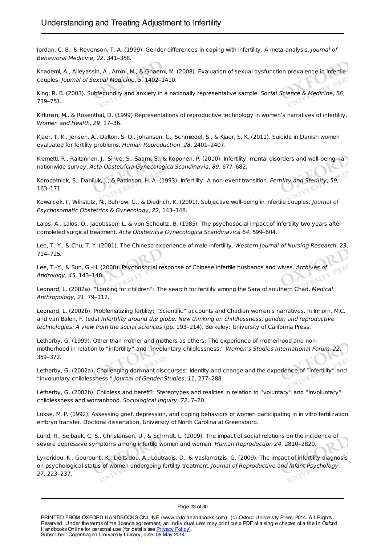Jordan, C. B., & Revenson, T. A. (1999). Gender differences in coping with infertility: A meta-analysis. Journal of Behavioral Medicine, 22, 341–358.

Khademi, A., Alleyassin, A., Amini, M., & Ghaemi, M. (2008). Evaluation of sexual dysfunction prevalence in infertile couples. Journal of Sexual Medicine, 5, 1402–1410.

King, R. B. (2003). Subfecundity and anxiety in a nationally representative sample. Social Science & Medicine, 56, 739–751.

Kirkman, M., & Rosenthal, D. (1999) Representations of reproductive technology in women's narratives of infertility. Women and Health, 29, 17–36.

Kjaer, T. K., Jensen, A., Dalton, S. O., Johansen, C., Schmiedel, S., & Kjaer, S. K. (2011). Suicide in Danish women evaluated for fertility problems. Human Reproduction, 28, 2401–2407.

Klemetti, R., Raitannen, J., Sihvo, S., Saami, S., & Koponen, P. (2010). Infertility, mental disorders and well-being—a nationwide survey. Acta Obstetricia Gynecologica Scandinavia, 89, 677–682.

Koropatnick, S., Daniluk, J., & Pattinson, H. A. (1993). Infertility: A non-event transition. Fertility and Sterility, 59, 163–171.

Kowalcek, I., Wihstutz, N., Buhrow, G., & Diedrich, K. (2001). Subjective well-being in infertile couples. Journal Psychosomatic Obstetrics & Gynecology, 22, 143–148.

Lalos, A., Lalos, O., Jacobsson, L. & von Schoultz, B. (1985). The psychosocial impact of infertility two years after completed surgical treatment. Acta Obstetricia Gynecologica Scandinavica 64, 599–604.

Lee, T.-Y., & Chu, T. Y. (2001). The Chinese experience of male infertility. Western Journal of Nursing Research, 23, 714–725.

Lee, T.-Y., & Sun, G.-H. (2000). Psychosocial response of Chinese infertile husbands and wives. Archives of Andrology, 45, 143–148.

Leonard, L. (2002a). "Looking for children": The search for fertility among the Sara of southern Chad, Medical Anthropology, 21, 79–112.

Leonard, L. (2002b). Problematizing fertility: "Scientific" accounts and Chadian women's narratives. In Inhorn, M.C. and van Balen, F. (eds) Infertility around the globe: New thinking on childlessness, gender, and reproductive technologies: A view from the social sciences (pp. 193–214). Berkeley: University of California Press.

Letherby, G. (1999). Other than mother and mothers as others: The experience of motherhood and nonmotherhood in relation to "infertility" and "involuntary childlessness." Women's Studies International Forum, 22, 359–372.

Letherby, G. (2002a). Challenging dominant discourses: Identity and change and the experience of "infertility" and "involuntary childlessness." Journal of Gender Studies, 11, 277–288.

Letherby, G. (2002b). Childless and bereft?: Stereotypes and realities in relation to "voluntary" and "involuntary" childlessness and womanhood. Sociological Inquiry, 72, 7–20.

Lukse, M. P. (1992). Assessing grief, depression, and coping behaviors of women participating in in vitro fertilization embryo transfer. Doctoral dissertation, University of North Carolina at Greensboro.

Lund, R., Sejbaek, C. S., Christensen, U., & Schmidt, L. (2009). The impact of social relations on the incidence of severe depressive symptoms among infertile women and women. Human Reproduction 24, 2810–2820.

Lykeridou, K., Gourounti, K., Deltsidou, A., Loutradis, D., & Vaslamatzis, G. (2009). The impact of infertility diagnosis on psychological status of women undergoing fertility treatment. Journal of Reproductive and Infant Psychology, 27, 223–237.

Page 23 of 30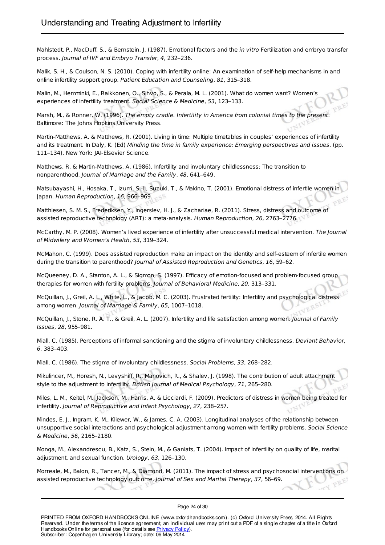Mahlstedt, P., MacDuff, S., & Bernstein, J. (1987). Emotional factors and the in vitro Fertilization and embryo transfer process. Journal of IVF and Embryo Transfer, 4, 232–236.

Malik, S. H., & Coulson, N. S. (2010). Coping with infertility online: An examination of self-help mechanisms in and online infertility support group. Patient Education and Counseling, 81, 315–318.

Malin, M., Hemminki, E., Raikkonen, O., Sihvo, S., & Perala, M. L. (2001). What do women want? Women's experiences of infertility treatment. Social Science & Medicine, 53, 123–133.

Marsh, M., & Ronner, W. (1996). The empty cradle. Infertility in America from colonial times to the present. Baltimore: The Johns Hopkins University Press.

Martin-Matthews, A. & Matthews, R. (2001). Living in time: Multiple timetables in couples' experiences of infertility and its treatment. In Daly, K. (Ed) Minding the time in family experience: Emerging perspectives and issues. (pp. 111–134). New York: JAI-Elsevier Science.

Matthews, R. & Martin-Matthews, A. (1986). Infertility and involuntary childlessness: The transition to nonparenthood. Journal of Marriage and the Family, 48, 641–649.

Matsubayashi, H., Hosaka, T., Izumi, S.-I., Suzuki, T., & Makino, T. (2001). Emotional distress of infertile women in Japan. Human Reproduction, 16, 966–969.

Matthiesen, S. M. S., Frederiksen, Y., Ingerslev, H. J., & Zachariae, R. (2011). Stress, distress and outcome of assisted reproductive technology (ART): a meta-analysis. Human Reproduction, 26, 2763–2776.

McCarthy, M. P. (2008). Women's lived experience of infertility after unsuccessful medical intervention. The Journal of Midwifery and Women's Health, 53, 319–324.

McMahon, C. (1999). Does assisted reproduction make an impact on the identity and self-esteem of infertile women during the transition to parenthood? Journal of Assisted Reproduction and Genetics, 16, 59–62.

McQueeney, D. A., Stanton, A. L., & Sigmon, S. (1997). Efficacy of emotion-focused and problem-focused group therapies for women with fertility problems. Journal of Behavioral Medicine, 20, 313–331.

McQuillan, J., Greil, A. L., White, L., & Jacob, M. C. (2003). Frustrated fertility: Infertility and psychological distress among women. Journal of Marriage & Family, 65, 1007–1018.

McQuillan, J., Stone, R. A. T., & Greil, A. L. (2007). Infertility and life satisfaction among women. Journal of Family Issues, 28, 955–981.

Miall, C. (1985). Perceptions of informal sanctioning and the stigma of involuntary childlessness. Deviant Behavior, 6, 383–403.

Miall, C. (1986). The stigma of involuntary childlessness. Social Problems, 33, 268–282.

Mikulincer, M., Horesh, N., Levyshiff, R., Manovich, R., & Shalev, J. (1998). The contribution of adult attachment style to the adjustment to infertility. British Journal of Medical Psychology, 71, 265–280.

Miles, L. M., Keitel, M., Jackson, M., Harris, A. & Licciardi, F. (2009). Predictors of distress in women being treated for infertility. Journal of Reproductive and Infant Psychology, 27, 238–257.

Mindes, E. J., Ingram, K. M., Kliewer, W., & James, C. A. (2003). Longitudinal analyses of the relationship between unsupportive social interactions and psychological adjustment among women with fertility problems. Social Science & Medicine, 56, 2165–2180.

Monga, M., Alexandrescu, B., Katz, S., Stein, M., & Ganiats, T. (2004). Impact of infertility on quality of life, marital adjustment, and sexual function. Urology, 63, 126–130.

Morreale, M., Balon, R., Tancer, M., & Diamond, M. (2011). The impact of stress and psychosocial interventions on assisted reproductive technology outcome. Journal of Sex and Marital Therapy, 37, 56–69.

#### Page 24 of 30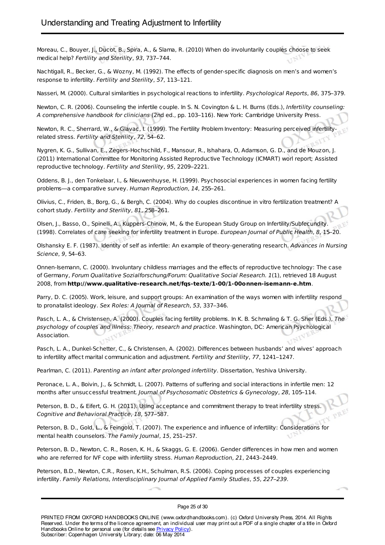Moreau, C., Bouyer, J., Ducot, B., Spira, A., & Slama, R. (2010) When do involuntarily couples choose to seek medical help? Fertility and Sterility, 93, 737–744.

Nachtigall, R., Becker, G., & Wozny, M. (1992). The effects of gender-specific diagnosis on men's and women's response to infertility. Fertility and Sterility, 57, 113–121.

Nasseri, M. (2000). Cultural similarities in psychological reactions to infertility. Psychological Reports, 86, 375-379.

Newton, C. R. (2006). Counseling the infertile couple. In S. N. Covington & L. H. Burns (Eds.), Infertility counseling: A comprehensive handbook for clinicians (2nd ed., pp. 103–116). New York: Cambridge University Press.

Newton, R. C., Sherrard, W., & Glavac, I. (1999). The Fertility Problem Inventory: Measuring perceived infertilityrelated stress. Fertility and Sterility, 72, 54–62.

Nygren, K. G., Sullivan, E., Zegers-Hochschild, F., Mansour, R., Ishahara, O, Adamson, G. D., and de Mouzon, J. (2011) International Committee for Monitoring Assisted Reproductive Technology (ICMART) worl report; Assisted reproductive technology. Fertility and Sterility, 95, 2209–2221.

Oddens, B. J., den Tonkelaar, I., & Nieuwenhuyse, H. (1999). Psychosocial experiences in women facing fertility problems—a comparative survey. Human Reproduction, 14, 255–261.

Olivius, C., Friden, B., Borg, G., & Bergh, C. (2004). Why do couples discontinue in vitro fertilization treatment? A cohort study. Fertility and Sterility, 81, 258–261.

Olsen, J., Basso, O., Spinelli, A., Kuppers-Chinow, M., & the European Study Group on Infertility/Subfecundity. (1998). Correlates of care seeking for infertility treatment in Europe. European Journal of Public Health, 8, 15–20.

Olshansky E. F. (1987). Identity of self as infertile: An example of theory-generating research. Advances in Nursing Science, 9, 54–63.

Onnen-Isemann, C. (2000). Involuntary childless marriages and the effects of reproductive technology: The case of Germany, Forum Qualitative Sozialforschung/Forum: Qualitative Social Research. 1(1), retrieved 18 August 2008, from **http://www.qualitative-research.net/fqs-texte/1-00/1-00onnen-isemann-e.htm**.

Parry, D. C. (2005). Work, leisure, and support groups: An examination of the ways women with infertility respond to pronatalist ideology. Sex Roles: A Journal of Research, 53, 337–346.

Pasch, L. A., & Christensen, A. (2000). Couples facing fertility problems. In K. B. Schmaling & T. G. Sher (Eds.), The psychology of couples and illness: Theory, research and practice. Washington, DC: American Psychological Association.

Pasch, L. A., Dunkel-Schetter, C., & Christensen, A. (2002). Differences between husbands' and wives' approac to infertility affect marital communication and adjustment. Fertility and Sterility, 77, 1241–1247.

Pearlman, C. (2011). Parenting an infant after prolonged infertility. Dissertation, Yeshiva University.

Peronace, L. A., Boivin, J., & Schmidt, L. (2007). Patterns of suffering and social interactions in infertile men: 12 months after unsuccessful treatment. Journal of Psychosomatic Obstetrics & Gynecology, 28, 105-114.

Peterson, B. D., & Eifert, G. H. (2011). Using acceptance and commitment therapy to treat infertility stress. Cognitive and Behavioral Practice, 18, 577–587.

Peterson, B. D., Gold, L., & Feingold, T. (2007). The experience and influence of infertility: Considerations for mental health counselors. The Family Journal, 15, 251–257.

Peterson, B. D., Newton, C. R., Rosen, K. H., & Skaggs, G. E. (2006). Gender differences in how men and women who are referred for IVF cope with infertility stress. Human Reproduction, 21, 2443–2449.

Peterson, B.D., Newton, C.R., Rosen, K.H., Schulman, R.S. (2006). Coping processes of couples experiencing infertility. Family Relations, Interdisciplinary Journal of Applied Family Studies, 55, 227–239.

Page 25 of 30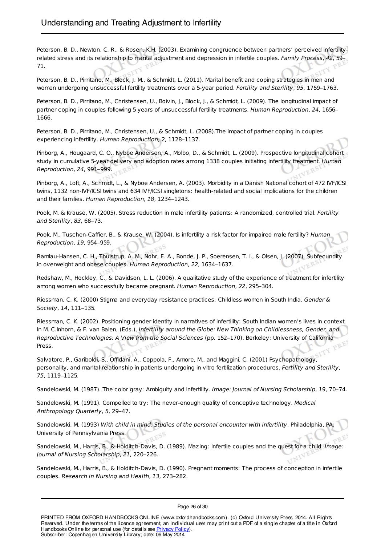Peterson, B. D., Newton, C. R., & Rosen, K.H. (2003). Examining congruence between partners' perceived infertilityrelated stress and its relationship to marital adjustment and depression in infertile couples. Family Process, 42, 59– 71.

Peterson, B. D., Pirritano, M., Block, J. M., & Schmidt, L. (2011). Marital benefit and coping strategies in men and women undergoing unsuccessful fertility treatments over a 5-year period. Fertility and Sterility, 95, 1759–1763.

Peterson, B. D., Pirritano, M., Christensen, U., Boivin, J., Block, J., & Schmidt, L. (2009). The longitudinal impact of partner coping in couples following 5 years of unsuccessful fertility treatments. Human Reproduction, 24, 1656– 1666.

Peterson, B. D., Pirritano, M., Christensen, U., & Schmidt, L. (2008).The impact of partner coping in couples experiencing infertility. Human Reproduction, 2, 1128–1137.

Pinborg, A., Hougaard, C. O., Nyboe Andersen, A., Molbo, D., & Schmidt, L. (2009). Prospective longitudinal cohort study in cumulative 5-year delivery and adoption rates among 1338 couples initiating infertility treatment. Human Reproduction, 24, 991–999.

Pinborg, A., Loft, A., Schmidt, L., & Nyboe Andersen, A. (2003). Morbidity in a Danish National cohort of 472 IVF/ICSI twins, 1132 non-IVF/ICSI twins and 634 IVF/ICSI singletons: health-related and social implications for the children and their families. Human Reproduction, 18, 1234–1243.

Pook, M. & Krause, W. (2005). Stress reduction in male infertility patients: A randomized, controlled trial. Fertility and Sterility, 83, 68–73.

Pook, M., Tuschen-Caffier, B., & Krause, W. (2004). Is infertility a risk factor for impaired male fertility? Human Reproduction, 19, 954–959.

Ramlau-Hansen, C. H., Thulstrup, A. M., Nohr, E. A., Bonde, J. P., Soerensen, T. I., & Olsen, J. (2007). Subfecundity in overweight and obese couples. Human Reproduction, 22, 1634–1637.

Redshaw, M., Hockley, C., & Davidson, L. L. (2006). A qualitative study of the experience of treatment for infertility among women who successfully became pregnant. Human Reproduction, 22, 295–304.

Riessman, C. K. (2000) Stigma and everyday resistance practices: Childless women in South India. Gender & Society, 14, 111–135.

Riessman, C. K. (2002). Positioning gender identity in narratives of infertility: South Indian women's lives in context. In M. C.Inhorn, & F. van Balen, (Eds.), Infertility around the Globe: New Thinking on Childlessness, Gender, and Reproductive Technologies: A View from the Social Sciences (pp. 152–170). Berkeley: University of California Press.

Salvatore, P., Gariboldi, S., Offidani, A., Coppola, F., Amore, M., and Maggini, C. (2001) Psychopathology, personality, and marital relationship in patients undergoing in vitro fertilization procedures. Fertility and Sterility 75, 1119–1125.

Sandelowski, M. (1987). The color gray: Ambiguity and infertility. Image: Journal of Nursing Scholarship, 19, 70–74.

Sandelowski, M. (1991). Compelled to try: The never-enough quality of conceptive technology. Medical Anthropology Quarterly, 5, 29–47.

Sandelowski, M. (1993) With child in mind: Studies of the personal encounter with infertility. Philadelphia, PA: University of Pennsylvania Press.

Sandelowski, M., Harris, B., & Holditch-Davis, D. (1989). Mazing: Infertile couples and the quest for a child. Image: Journal of Nursing Scholarship, 21, 220–226.

Sandelowski, M., Harris, B., & Holditch-Davis, D. (1990). Pregnant moments: The process of conception in infertile<br>couples. R*esearch in Nursing and Health, 13*, 273–282. couples. Research in Nursing and Health, 13, 273–282.

Page 26 of 30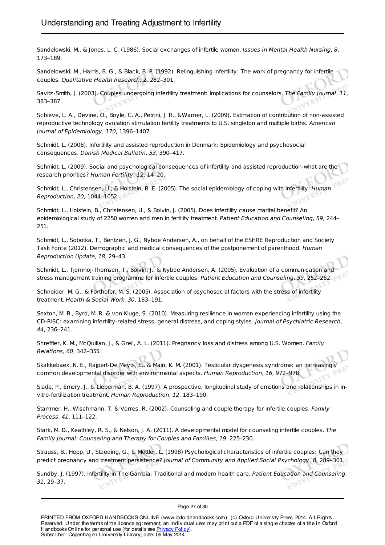Sandelowski, M., & Jones, L. C. (1986). Social exchanges of infertile women. Issues in Mental Health Nursing, 8, 173–189.

Sandelowski, M., Harris, B. G., & Black, B. P. (1992). Relinquishing infertility: The work of pregnancy for infertile couples. Qualitative Health Research, 2, 282–301.

Savitz-Smith, J. (2003). Couples undergoing infertility treatment: Implications for counselors. The Family Journal, 11, 383–387.

Schieve, L. A., Devine, O., Boyle, C. A., Petrini, J. R., &Warner, L. (2009). Estimation of contribution of non-assisted reproductive technology ovulation stimulation fertility treatments to U.S. singleton and multiple births. American<br>Journal of Epidemiology, 170, 1396–1407. Journal of Epidemiology, 170, 1396–1407.

Schmidt, L. (2006). Infertility and assisted reproduction in Denmark: Epidemiology and psychosocial consequences. Danish Medical Bulletin, 53, 390–417.

Schmidt, L. (2009). Social and psychological consequences of infertility and assisted reproduction-what are the research priorities? Human Fertility, 12, 14–20.

Schmidt, L., Christensen, U., & Holstein, B. E. (2005). The social epidemiology of coping with infertility. Human Reproduction, 20, 1044–1052.

Schmidt, L., Holstein, B., Christensen, U., & Boivin, J. (2005). Does infertility cause marital benefit? An epidemiological study of 2250 women and men in fertility treatment. Patient Education and Counseling, 59, 24 251.

Schmidt, L., Sobotka, T., Bentzen, J. G., Nyboe Andersen, A., on behalf of the ESHRE Reproduction and Society Task Force (2012). Demographic and medical consequences of the postponement of parenthood. Human Reproduction Update, 18, 29–43.

Schmidt, L., Tjornhoj-Thomsen, T., Boivin, J., & Nyboe Andersen, A. (2005). Evaluation of a communication and stress management training programme for infertile couples. Patient Education and Counseling, 59, 252–262.

Schneider, M. G., & Forthofer, M. S. (2005). Association of psychosocial factors with the stress of infertility treatment. Health & Social Work, 30, 183–191.

Sexton, M. B., Byrd, M. R. & von Kluge, S. (2010). Measuring resilience in women experiencing infertility using the CD-RISC: examining infertility-related stress, general distress, and coping styles. Journal of Psychiatric Research, 44, 236–241.

Shreffler, K. M., McQuillan, J., & Greil, A. L. (2011). Pregnancy loss and distress among U.S. Women. Family Relations, 60, 342–355.

Skakkebaek, N. E., Rajpert-De Meyts, E., & Main, K. M. (2001). Testicular dysgenesis syndrome: an increasingly common developmental disorder with environmental aspects. Human Reproduction, 16, 972–978.

Slade, P., Emery, J., & Lieberman, B. A. (1997). A prospective, longitudinal study of emotions and relationships in invitro-fertilization treatment. Human Reproduction, 12, 183–190.

Stammer, H., Wischmann, T. & Verres, R. (2002). Counseling and couple therapy for infertile couples. Family Process, 41, 111–122.

Stark, M. D., Keathley, R. S., & Nelson, J. A. (2011). A developmental model for counseling infertile couples. The Family Journal: Counseling and Therapy for Couples and Families, 19, 225–230.

Strauss, B., Hepp, U., Staeding, G., & Mettler, L. (1998) Psychological characteristics of infertile couples: Can they predict pregnancy and treatment persistence? Journal of Community and Applied Social Psychology, 8, 289–301.

Sundby, J. (1997). Infertility in The Gambia: Traditional and modern health care. Patient Education and Counseling, 31, 29–37.

Page 27 of 30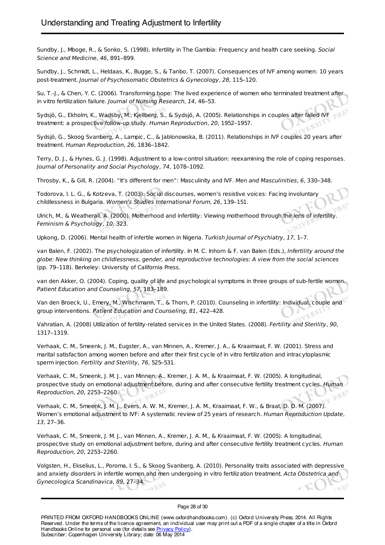Sundby, J., Mboge, R., & Sonko, S. (1998). Infertility in The Gambia: Frequency and health care seeking. Social Science and Medicine, 46, 891–899.

Sundby, J., Schmidt, L., Heldaas, K., Bugge, S., & Tanbo, T. (2007). Consequences of IVF among women: 10 years post-treatment. Journal of Psychosomatic Obstetrics & Gynecology, 28, 115–120.

Su, T.-J., & Chen, Y. C. (2006). Transforming hope: The lived experience of women who terminated treatment after in vitro fertilization failure. Journal of Nursing Research, 14, 46–53.

Sydsjö, G., Ekholm, K., Wadsby, M., Kjellberg, S., & Sydsjö, A. (2005). Relationships in couples after failed IVF treatment: a prospective follow-up study. Human Reproduction, 20, 1952–1957.

Sydsjö, G., Skoog Svanberg, A., Lampic, C., & Jablonowska, B. (2011). Relationships in IVF couples 20 years after treatment. Human Reproduction, 26, 1836–1842.

Terry, D. J., & Hynes, G. J. (1998). Adjustment to a low-control situation: reexamining the role of coping responses. Journal of Personality and Social Psychology, 74, 1078–1092.

Throsby, K., & Gill, R. (2004). "It's different for men": Masculinity and IVF. Men and Masculinities, 6, 330–348.

Todorova, I. L. G., & Kotzeva, T. (2003). Social discourses, women's resistive voices: Facing involuntary childlessness in Bulgaria. Women's Studies International Forum, 26, 139–151.

Ulrich, M., & Weatherall, A. (2000). Motherhood and infertility: Viewing motherhood through the lens of infertility. Feminism & Psychology, 10, 323.

Upkong, D. (2006). Mental health of infertile women in Nigeria. Turkish Journal of Psychiatry, 17, 1-7.

van Balen, F. (2002). The psychologization of infertility. In M. C. Inhorn & F. van Balen (Eds.), Infertility around the globe: New thinking on childlessness, gender, and reproductive technologies: A view from the social sciences (pp. 79–118). Berkeley: University of California Press.

van den Akker, O. (2004). Coping, quality of life and psychological symptoms in three groups of sub-fertile women. Patient Education and Counseling, 57, 183–189.

Van den Broeck, U., Emery, M., Wischmann, T., & Thorn, P. (2010). Counseling in infertility: Individual, couple and group interventions. Patient Education and Counseling, 81, 422–428.

Vahratian, A. (2008) Utilization of fertility-related services in the United States. (2008). Fertility and Sterility, 90, 1317–1319.

Verhaak, C. M., Smeenk, J. M., Eugster, A., van Minnen, A., Kremer, J. A., & Kraaimaat, F. W. (2001). Stress and marital satisfaction among women before and after their first cycle of in vitro fertilization and intracytoplasmic sperm injection. Fertility and Sterility, 76, 525–531.

Verhaak, C. M., Smeenk, J. M. J., van Minnen, A., Kremer, J. A. M., & Kraaimaat, F. W. (2005). A longitudinal, prospective study on emotional adjustment before, during and after consecutive fertility treatment cycles. Human Reproduction, 20, 2253–2260.

Verhaak, C. M., Smeenk, J. M. J., Evers, A. W. M., Kremer, J. A. M., Kraaimaat, F. W., & Braat, D. D. M. (2007). Women's emotional adjustment to IVF: A systematic review of 25 years of research. Human Reproduction Update, 13, 27–36.

Verhaak, C. M., Smeenk, J. M. J., van Minnen, A., Kremer, J. A. M., & Kraaimaat, F. W. (2005). A longitudinal, prospective study on emotional adjustment before, during and after consecutive fertility treatment cycles. Human Reproduction, 20, 2253–2260.

Volgsten, H., Ekselius, L., Poroma, I. S., & Skoog Svanberg, A. (2010). Personality traits associated with depressive and anxiety disorders in infertile women and men undergoing in vitro fertilization treatment. Acta Obstetrica and Gynecologica Scandinavica, 89, 27–34.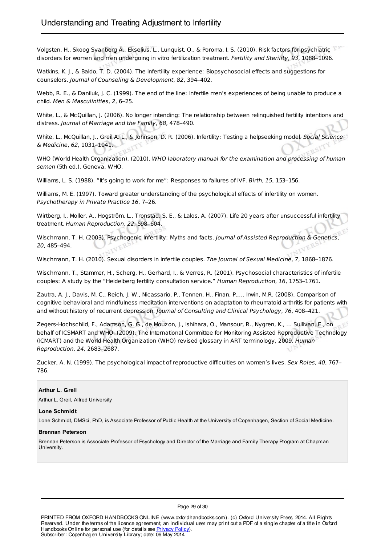Volgsten, H., Skoog Svanberg A., Ekselius, L., Lunquist, O., & Poroma, I. S. (2010). Risk factors for psychiatric disorders for women and men undergoing in vitro fertilization treatment. Fertility and Sterility, 93, 1088–1096.

Watkins, K. J., & Baldo, T. D. (2004). The infertility experience: Biopsychosocial effects and suggestions for counselors. Journal of Counseling & Development, 82, 394–402.

Webb, R. E., & Daniluk, J. C. (1999). The end of the line: Infertile men's experiences of being unable to produce a child. Men & Masculinities, 2, 6–25.

White, L., & McQuillan, J. (2006). No longer intending: The relationship between relinquished fertility intentions and distress. Journal of Marriage and the Family, 68, 478–490.

White, L., McQuillan, J., Greil A. L., & Johnson, D. R. (2006). Infertility: Testing a helpseeking model. Social Science & Medicine, 62, 1031–1041.

WHO (World Health Organization). (2010). WHO laboratory manual for the examination and processing of human semen (5th ed.). Geneva, WHO.

Williams, L. S. (1988). "It's going to work for me": Responses to failures of IVF. Birth, 15, 153–156.

Williams, M. E. (1997). Toward greater understanding of the psychological effects of infertility on women. Psychotherapy in Private Practice 16, 7–26.

Wirtberg, I., Moller, A., Hogström, L., Tronstad, S. E., & Lalos, A. (2007). Life 20 years after unsuccessful infertility treatment. Human Reproduction, 22, 598–604.

Wischmann, T. H. (2003). Psychogenic Infertility: Myths and facts. Journal of Assisted Reproduction & Genetics, 20, 485–494.

Wischmann, T. H. (2010). Sexual disorders in infertile couples. The Journal of Sexual Medicine, 7, 1868–1876.

Wischmann, T., Stammer, H., Scherg, H., Gerhard, I., & Verres, R. (2001). Psychosocial characteristics of infertile couples: A study by the "Heidelberg fertility consultation service." Human Reproduction, 16, 1753–1761.

Zautra, A. J., Davis, M. C., Reich, J. W., Nicassario, P., Tennen, H., Finan, P.,… Irwin, M.R. (2008). Comparison of cognitive behavioral and mindfulness meditation interventions on adaptation to rheumatoid arthritis for patients with and without history of recurrent depression. Journal of Consulting and Clinical Psychology, 76, 408-421.

Zegers-Hochschild, F., Adamson, G. G., de Mouzon, J., Ishihara, O., Mansour, R., Nygren, K., … Sullivan, E., on behalf of ICSMART and WHO. (2009). The International Committee for Monitoring Assisted Reproductive Technology (ICMART) and the World Health Organization (WHO) revised glossary in ART terminology, 2009. Human Reproduction, 24, 2683–2687.

Zucker, A. N. (1999). The psychological impact of reproductive difficulties on women's lives. Sex Roles, 40, 786.

#### **Arthur L. Greil**

Arthur L. Greil, Alfred University

#### **Lone Schmidt**

Lone Schmidt, DMSci, PhD, is Associate Professor of Public Health at the University of Copenhagen, Section of Social Medicine.

#### **Brennan Peterson**

Brennan Peterson is Associate Professor of Psychology and Director of the Marriage and Family Therapy Program at Chapman University.



Page 29 of 30